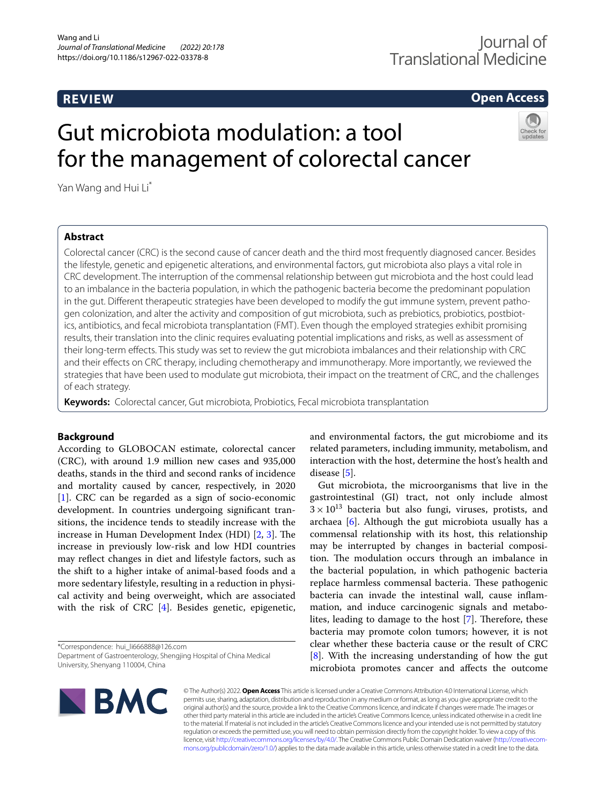**REVIEW**

# **Open Access**

# Gut microbiota modulation: a tool for the management of colorectal cancer

Yan Wang and Hui Li\*

# **Abstract**

Colorectal cancer (CRC) is the second cause of cancer death and the third most frequently diagnosed cancer. Besides the lifestyle, genetic and epigenetic alterations, and environmental factors, gut microbiota also plays a vital role in CRC development. The interruption of the commensal relationship between gut microbiota and the host could lead to an imbalance in the bacteria population, in which the pathogenic bacteria become the predominant population in the gut. Diferent therapeutic strategies have been developed to modify the gut immune system, prevent pathogen colonization, and alter the activity and composition of gut microbiota, such as prebiotics, probiotics, postbiotics, antibiotics, and fecal microbiota transplantation (FMT). Even though the employed strategies exhibit promising results, their translation into the clinic requires evaluating potential implications and risks, as well as assessment of their long-term efects. This study was set to review the gut microbiota imbalances and their relationship with CRC and their efects on CRC therapy, including chemotherapy and immunotherapy. More importantly, we reviewed the strategies that have been used to modulate gut microbiota, their impact on the treatment of CRC, and the challenges of each strategy.

**Keywords:** Colorectal cancer, Gut microbiota, Probiotics, Fecal microbiota transplantation

# **Background**

According to GLOBOCAN estimate, colorectal cancer (CRC), with around 1.9 million new cases and 935,000 deaths, stands in the third and second ranks of incidence and mortality caused by cancer, respectively, in 2020 [[1\]](#page-9-0). CRC can be regarded as a sign of socio-economic development. In countries undergoing signifcant transitions, the incidence tends to steadily increase with the increase in Human Development Index (HDI)  $[2, 3]$  $[2, 3]$  $[2, 3]$ . The increase in previously low-risk and low HDI countries may refect changes in diet and lifestyle factors, such as the shift to a higher intake of animal-based foods and a more sedentary lifestyle, resulting in a reduction in physical activity and being overweight, which are associated with the risk of CRC [[4\]](#page-9-3). Besides genetic, epigenetic,

\*Correspondence: hui\_li666888@126.com Department of Gastroenterology, Shengjing Hospital of China Medical University, Shenyang 110004, China

and environmental factors, the gut microbiome and its related parameters, including immunity, metabolism, and interaction with the host, determine the host's health and disease [\[5](#page-9-4)].

Gut microbiota, the microorganisms that live in the gastrointestinal (GI) tract, not only include almost  $3 \times 10^{13}$  bacteria but also fungi, viruses, protists, and archaea [\[6](#page-9-5)]. Although the gut microbiota usually has a commensal relationship with its host, this relationship may be interrupted by changes in bacterial composition. The modulation occurs through an imbalance in the bacterial population, in which pathogenic bacteria replace harmless commensal bacteria. These pathogenic bacteria can invade the intestinal wall, cause infammation, and induce carcinogenic signals and metabo-lites, leading to damage to the host [\[7](#page-9-6)]. Therefore, these bacteria may promote colon tumors; however, it is not clear whether these bacteria cause or the result of CRC [[8\]](#page-10-0). With the increasing understanding of how the gut microbiota promotes cancer and afects the outcome



© The Author(s) 2022. **Open Access** This article is licensed under a Creative Commons Attribution 4.0 International License, which permits use, sharing, adaptation, distribution and reproduction in any medium or format, as long as you give appropriate credit to the original author(s) and the source, provide a link to the Creative Commons licence, and indicate if changes were made. The images or other third party material in this article are included in the article's Creative Commons licence, unless indicated otherwise in a credit line to the material. If material is not included in the article's Creative Commons licence and your intended use is not permitted by statutory regulation or exceeds the permitted use, you will need to obtain permission directly from the copyright holder. To view a copy of this licence, visit [http://creativecommons.org/licenses/by/4.0/.](http://creativecommons.org/licenses/by/4.0/) The Creative Commons Public Domain Dedication waiver ([http://creativecom](http://creativecommons.org/publicdomain/zero/1.0/)[mons.org/publicdomain/zero/1.0/\)](http://creativecommons.org/publicdomain/zero/1.0/) applies to the data made available in this article, unless otherwise stated in a credit line to the data.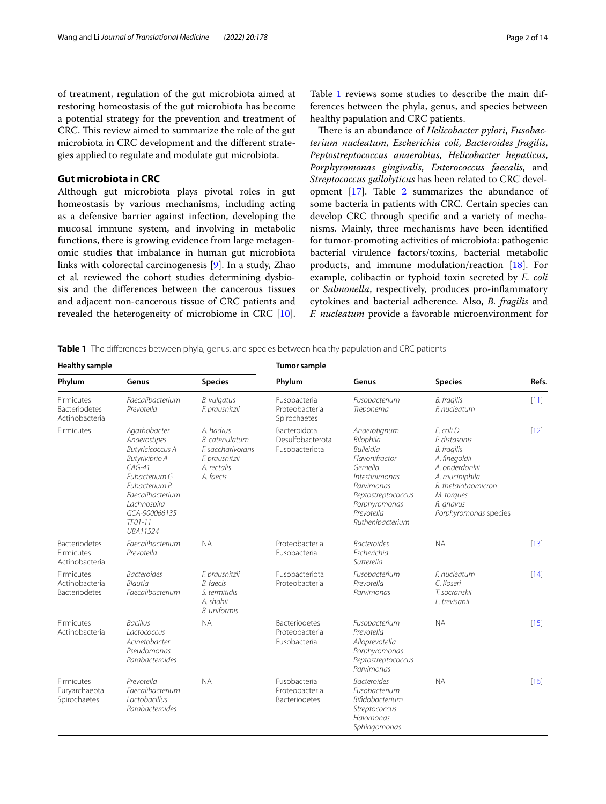of treatment, regulation of the gut microbiota aimed at restoring homeostasis of the gut microbiota has become a potential strategy for the prevention and treatment of CRC. This review aimed to summarize the role of the gut microbiota in CRC development and the diferent strategies applied to regulate and modulate gut microbiota.

## **Gut microbiota in CRC**

Although gut microbiota plays pivotal roles in gut homeostasis by various mechanisms, including acting as a defensive barrier against infection, developing the mucosal immune system, and involving in metabolic functions, there is growing evidence from large metagenomic studies that imbalance in human gut microbiota links with colorectal carcinogenesis [[9\]](#page-10-1). In a study, Zhao et al*.* reviewed the cohort studies determining dysbiosis and the diferences between the cancerous tissues and adjacent non-cancerous tissue of CRC patients and revealed the heterogeneity of microbiome in CRC [\[10](#page-10-2)]. Table [1](#page-1-0) reviews some studies to describe the main differences between the phyla, genus, and species between healthy papulation and CRC patients.

There is an abundance of *Helicobacter pylori*, *Fusobacterium nucleatum*, *Escherichia coli*, *Bacteroides fragilis*, *Peptostreptococcus anaerobius*, *Helicobacter hepaticus*, *Porphyromonas gingivalis*, *Enterococcus faecalis*, and *Streptococcus gallolyticus* has been related to CRC development  $[17]$  $[17]$  $[17]$ . Table [2](#page-2-0) summarizes the abundance of some bacteria in patients with CRC. Certain species can develop CRC through specifc and a variety of mechanisms. Mainly, three mechanisms have been identifed for tumor-promoting activities of microbiota: pathogenic bacterial virulence factors/toxins, bacterial metabolic products, and immune modulation/reaction [[18\]](#page-10-4). For example, colibactin or typhoid toxin secreted by *E. coli* or *Salmonella*, respectively, produces pro-infammatory cytokines and bacterial adherence. Also, *B. fragilis* and *F. nucleatum* provide a favorable microenvironment for

<span id="page-1-0"></span>**Table 1** The diferences between phyla, genus, and species between healthy papulation and CRC patients

| <b>Healthy sample</b>                                |                                                                                                                                                                                                      |                                                                                                | <b>Tumor sample</b>                                       |                                                                                                                                                                                            |                                                                                                                                                                                  |        |  |
|------------------------------------------------------|------------------------------------------------------------------------------------------------------------------------------------------------------------------------------------------------------|------------------------------------------------------------------------------------------------|-----------------------------------------------------------|--------------------------------------------------------------------------------------------------------------------------------------------------------------------------------------------|----------------------------------------------------------------------------------------------------------------------------------------------------------------------------------|--------|--|
| Phylum                                               | Genus                                                                                                                                                                                                | <b>Species</b>                                                                                 | Phylum                                                    | Genus                                                                                                                                                                                      | <b>Species</b>                                                                                                                                                                   | Refs.  |  |
| <b>Firmicutes</b><br>Bacteriodetes<br>Actinobacteria | Faecalibacterium<br>Prevotella                                                                                                                                                                       | B. vulgatus<br>F. prausnitzii                                                                  | Fusobacteria<br>Proteobacteria<br>Spirochaetes            | Fusobacterium<br>Treponema                                                                                                                                                                 | <b>B.</b> fragilis<br>F. nucleatum                                                                                                                                               | $[11]$ |  |
| Firmicutes                                           | Agathobacter<br>Anaerostipes<br><b>Butyricicoccus A</b><br>Butyrivibrio A<br>$CAG-41$<br>Eubacterium G<br>Eubacterium R<br>Faecalibacterium<br>Lachnospira<br>GCA-900066135<br>$TFO1-11$<br>UBA11524 | A. hadrus<br>B. catenulatum<br>F. saccharivorans<br>F. prausnitzii<br>A. rectalis<br>A. faecis | <b>Bacteroidota</b><br>Desulfobacterota<br>Fusobacteriota | Anaerotignum<br>Bilophila<br><b>Bulleidia</b><br>Flavonifractor<br>Gemella<br><i>Intestinimonas</i><br>Parvimonas<br>Peptostreptococcus<br>Porphyromonas<br>Prevotella<br>Ruthenibacterium | F. coli D<br>P. distasonis<br><b>B.</b> fragilis<br>A. finegoldii<br>A. onderdonkii<br>A. muciniphila<br>B. thetaiotaomicron<br>M. torques<br>R. gnavus<br>Porphyromonas species | $[12]$ |  |
| <b>Bacteriodetes</b><br>Firmicutes<br>Actinobacteria | Faecalibacterium<br>Prevotella                                                                                                                                                                       | <b>NA</b>                                                                                      | Proteobacteria<br>Fusobacteria                            | <b>Bacteroides</b><br><b>Fscherichia</b><br>Sutterella                                                                                                                                     | <b>NA</b>                                                                                                                                                                        | $[13]$ |  |
| Firmicutes<br>Actinobacteria<br>Bacteriodetes        | <b>Bacteroides</b><br><b>Blautia</b><br>Faecalibacterium                                                                                                                                             | F. prausnitzii<br><b>B.</b> faecis<br>S. termitidis<br>A. shahii<br><b>B.</b> uniformis        | Fusobacteriota<br>Proteobacteria                          | Fusobacterium<br>Prevotella<br>Parvimonas                                                                                                                                                  | F. nucleatum<br>C. Koseri<br>T. socranskii<br>L. trevisanii                                                                                                                      | [14]   |  |
| <b>Firmicutes</b><br>Actinobacteria                  | <b>Bacillus</b><br>Lactococcus<br>Acinetobacter<br>Pseudomonas<br>Parabacteroides                                                                                                                    | <b>NA</b>                                                                                      | <b>Bacteriodetes</b><br>Proteobacteria<br>Fusobacteria    | Fusobacterium<br>Prevotella<br>Alloprevotella<br>Porphyromonas<br>Peptostreptococcus<br>Parvimonas                                                                                         | <b>NA</b>                                                                                                                                                                        | $[15]$ |  |
| <b>Firmicutes</b><br>Euryarchaeota<br>Spirochaetes   | Prevotella<br>Faecalibacterium<br><i>Lactobacillus</i><br>Parabacteroides                                                                                                                            | <b>NA</b>                                                                                      | Fusobacteria<br>Proteobacteria<br><b>Bacteriodetes</b>    | <b>Bacteroides</b><br>Fusobacterium<br><b>Bifidobacterium</b><br>Streptococcus<br>Halomonas<br>Sphingomonas                                                                                | <b>NA</b>                                                                                                                                                                        | $[16]$ |  |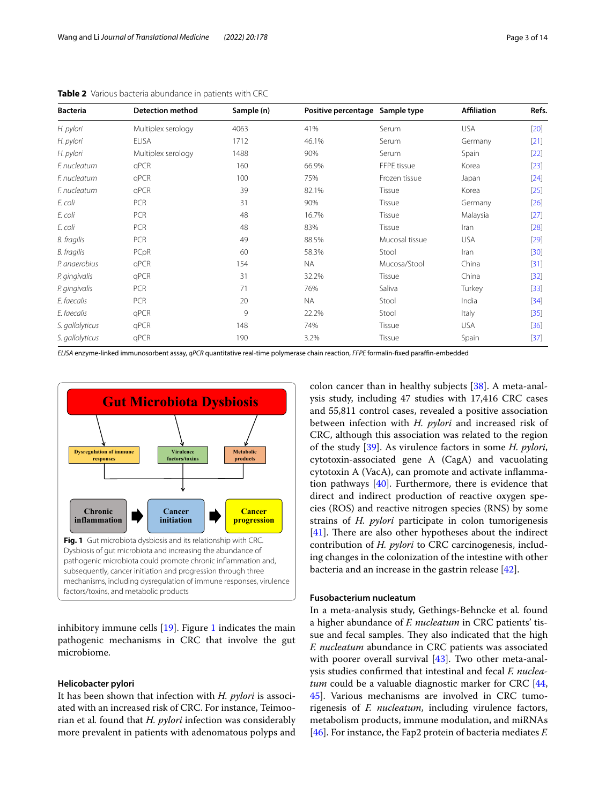| <b>Bacteria</b>    | <b>Detection method</b> | Sample (n) | Positive percentage Sample type |                | <b>Affiliation</b> | Refs.  |
|--------------------|-------------------------|------------|---------------------------------|----------------|--------------------|--------|
| H. pylori          | Multiplex serology      | 4063       | 41%                             | Serum          | <b>USA</b>         | $[20]$ |
| H. pylori          | <b>ELISA</b>            | 1712       | 46.1%                           | Serum          | Germany            | $[21]$ |
| H. pylori          | Multiplex serology      | 1488       | 90%                             | Serum          | Spain              | $[22]$ |
| F. nucleatum       | qPCR                    | 160        | 66.9%                           | FFPE tissue    | Korea              | $[23]$ |
| F. nucleatum       | qPCR                    | 100        | 75%                             | Frozen tissue  | Japan              | $[24]$ |
| F. nucleatum       | qPCR                    | 39         | 82.1%                           | Tissue         | Korea              | $[25]$ |
| E. coli            | <b>PCR</b>              | 31         | 90%                             | Tissue         | Germany            | $[26]$ |
| E. coli            | PCR                     | 48         | 16.7%                           | Tissue         | Malaysia           | $[27]$ |
| E. coli            | PCR                     | 48         | 83%                             | Tissue         | Iran               | [28]   |
| <b>B.</b> fragilis | PCR                     | 49         | 88.5%                           | Mucosal tissue | <b>USA</b>         | $[29]$ |
| B. fragilis        | PCpR                    | 60         | 58.3%                           | Stool          | Iran               | $[30]$ |
| P. anaerobius      | qPCR                    | 154        | <b>NA</b>                       | Mucosa/Stool   | China              | $[31]$ |
| P. gingivalis      | qPCR                    | 31         | 32.2%                           | Tissue         | China              | $[32]$ |
| P. gingivalis      | PCR                     | 71         | 76%                             | Saliva         | Turkey             | $[33]$ |
| E. faecalis        | PCR                     | 20         | <b>NA</b>                       | Stool          | India              | $[34]$ |
| E. faecalis        | qPCR                    | 9          | 22.2%                           | Stool          | Italy              | $[35]$ |
| S. gallolyticus    | qPCR                    | 148        | 74%                             | Tissue         | <b>USA</b>         | $[36]$ |
| S. gallolyticus    | qPCR                    | 190        | 3.2%                            | Tissue         | Spain              | $[37]$ |

<span id="page-2-0"></span>**Table 2** Various bacteria abundance in patients with CRC

*ELISA* enzyme-linked immunosorbent assay, *qPCR* quantitative real‐time polymerase chain reaction, *FFPE* formalin‐fxed parafn‐embedded



<span id="page-2-1"></span>inhibitory immune cells [[19\]](#page-10-11). Figure [1](#page-2-1) indicates the main pathogenic mechanisms in CRC that involve the gut microbiome.

### **Helicobacter pylori**

It has been shown that infection with *H. pylori* is associated with an increased risk of CRC. For instance, Teimoorian et al*.* found that *H. pylori* infection was considerably more prevalent in patients with adenomatous polyps and colon cancer than in healthy subjects [[38](#page-10-12)]. A meta-analysis study, including 47 studies with 17,416 CRC cases and 55,811 control cases, revealed a positive association between infection with *H. pylori* and increased risk of CRC, although this association was related to the region of the study [\[39](#page-10-13)]. As virulence factors in some *H. pylori*, cytotoxin-associated gene A (CagA) and vacuolating cytotoxin A (VacA), can promote and activate infammation pathways [[40\]](#page-10-14). Furthermore, there is evidence that direct and indirect production of reactive oxygen species (ROS) and reactive nitrogen species (RNS) by some strains of *H. pylori* participate in colon tumorigenesis  $[41]$  $[41]$ . There are also other hypotheses about the indirect contribution of *H. pylori* to CRC carcinogenesis, including changes in the colonization of the intestine with other bacteria and an increase in the gastrin release [\[42](#page-10-16)].

## **Fusobacterium nucleatum**

In a meta-analysis study, Gethings-Behncke et al*.* found a higher abundance of *F. nucleatum* in CRC patients' tissue and fecal samples. They also indicated that the high *F. nucleatum* abundance in CRC patients was associated with poorer overall survival [[43\]](#page-10-17). Two other meta-analysis studies confrmed that intestinal and fecal *F. nucleatum* could be a valuable diagnostic marker for CRC [[44](#page-10-18), [45\]](#page-10-19). Various mechanisms are involved in CRC tumorigenesis of *F. nucleatum*, including virulence factors, metabolism products, immune modulation, and miRNAs [[46\]](#page-10-20). For instance, the Fap2 protein of bacteria mediates *F.*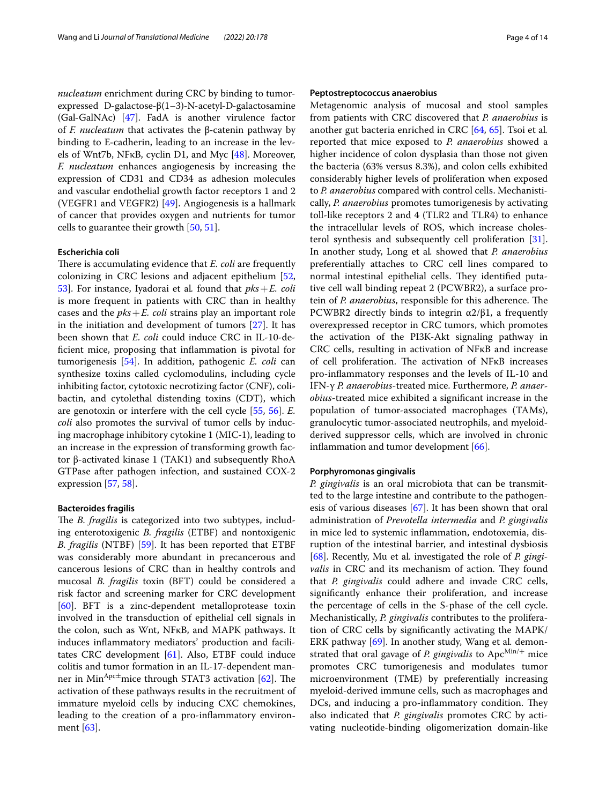*nucleatum* enrichment during CRC by binding to tumorexpressed D-galactose-β(1–3)-N-acetyl-D-galactosamine (Gal‐GalNAc) [[47\]](#page-10-39). FadA is another virulence factor of *F. nucleatum* that activates the β‐catenin pathway by binding to E‐cadherin, leading to an increase in the levels of Wnt7b, NFκB, cyclin D1, and Myc [\[48](#page-10-40)]. Moreover, *F. nucleatum* enhances angiogenesis by increasing the expression of CD31 and CD34 as adhesion molecules and vascular endothelial growth factor receptors 1 and 2 (VEGFR1 and VEGFR2) [\[49](#page-10-41)]. Angiogenesis is a hallmark of cancer that provides oxygen and nutrients for tumor cells to guarantee their growth [[50,](#page-10-42) [51\]](#page-11-0).

### **Escherichia coli**

There is accumulating evidence that *E. coli* are frequently colonizing in CRC lesions and adjacent epithelium [\[52](#page-11-1), [53\]](#page-11-2). For instance, Iyadorai et al*.* found that *pks*+*E. coli* is more frequent in patients with CRC than in healthy cases and the  $pks + E$ . *coli* strains play an important role in the initiation and development of tumors [\[27](#page-10-28)]. It has been shown that *E. coli* could induce CRC in IL-10-defcient mice, proposing that infammation is pivotal for tumorigenesis [\[54\]](#page-11-3). In addition, pathogenic *E. coli* can synthesize toxins called cyclomodulins, including cycle inhibiting factor, cytotoxic necrotizing factor (CNF), colibactin, and cytolethal distending toxins (CDT), which are genotoxin or interfere with the cell cycle [[55,](#page-11-4) [56\]](#page-11-5). *E. coli* also promotes the survival of tumor cells by inducing macrophage inhibitory cytokine 1 (MIC-1), leading to an increase in the expression of transforming growth factor β-activated kinase 1 (TAK1) and subsequently RhoA GTPase after pathogen infection, and sustained COX-2 expression [[57](#page-11-6), [58\]](#page-11-7).

#### **Bacteroides fragilis**

The *B. fragilis* is categorized into two subtypes, including enterotoxigenic *B. fragilis* (ETBF) and nontoxigenic *B. fragilis* (NTBF) [[59\]](#page-11-8). It has been reported that ETBF was considerably more abundant in precancerous and cancerous lesions of CRC than in healthy controls and mucosal *B. fragilis* toxin (BFT) could be considered a risk factor and screening marker for CRC development [[60\]](#page-11-9). BFT is a zinc-dependent metalloprotease toxin involved in the transduction of epithelial cell signals in the colon, such as Wnt, NFκB, and MAPK pathways. It induces infammatory mediators' production and facilitates CRC development [\[61](#page-11-10)]. Also, ETBF could induce colitis and tumor formation in an IL-17-dependent manner in Min<sup>Apc $\pm$ </sup>mice through STAT3 activation [[62\]](#page-11-11). The activation of these pathways results in the recruitment of immature myeloid cells by inducing CXC chemokines, leading to the creation of a pro-infammatory environment [\[63](#page-11-12)].

## **Peptostreptococcus anaerobius**

Metagenomic analysis of mucosal and stool samples from patients with CRC discovered that *P. anaerobius* is another gut bacteria enriched in CRC [\[64,](#page-11-13) [65\]](#page-11-14). Tsoi et al*.* reported that mice exposed to *P. anaerobius* showed a higher incidence of colon dysplasia than those not given the bacteria (63% versus 8.3%), and colon cells exhibited considerably higher levels of proliferation when exposed to *P. anaerobius* compared with control cells. Mechanistically, *P. anaerobius* promotes tumorigenesis by activating toll-like receptors 2 and 4 (TLR2 and TLR4) to enhance the intracellular levels of ROS, which increase cholesterol synthesis and subsequently cell proliferation [\[31](#page-10-32)]. In another study, Long et al*.* showed that *P. anaerobius* preferentially attaches to CRC cell lines compared to normal intestinal epithelial cells. They identified putative cell wall binding repeat 2 (PCWBR2), a surface protein of *P. anaerobius*, responsible for this adherence. The PCWBR2 directly binds to integrin  $\alpha$ 2/β1, a frequently overexpressed receptor in CRC tumors, which promotes the activation of the PI3K-Akt signaling pathway in CRC cells, resulting in activation of NFκB and increase of cell proliferation. The activation of NFκB increases pro-infammatory responses and the levels of IL-10 and IFN-γ *P. anaerobius*-treated mice. Furthermore, *P. anaerobius*-treated mice exhibited a signifcant increase in the population of tumor-associated macrophages (TAMs), granulocytic tumor-associated neutrophils, and myeloidderived suppressor cells, which are involved in chronic inflammation and tumor development [\[66](#page-11-15)].

#### **Porphyromonas gingivalis**

*P. gingivalis* is an oral microbiota that can be transmitted to the large intestine and contribute to the pathogenesis of various diseases [\[67\]](#page-11-16). It has been shown that oral administration of *Prevotella intermedia* and *P. gingivalis* in mice led to systemic infammation, endotoxemia, disruption of the intestinal barrier, and intestinal dysbiosis [[68\]](#page-11-17). Recently, Mu et al*.* investigated the role of *P. gingivalis* in CRC and its mechanism of action. They found that *P. gingivalis* could adhere and invade CRC cells, signifcantly enhance their proliferation, and increase the percentage of cells in the S-phase of the cell cycle. Mechanistically, *P. gingivalis* contributes to the proliferation of CRC cells by signifcantly activating the MAPK/ ERK pathway [\[69\]](#page-11-18). In another study, Wang et al*.* demonstrated that oral gavage of *P. gingivalis* to Apc<sup>Min/+</sup> mice promotes CRC tumorigenesis and modulates tumor microenvironment (TME) by preferentially increasing myeloid-derived immune cells, such as macrophages and DCs, and inducing a pro-inflammatory condition. They also indicated that *P. gingivalis* promotes CRC by activating nucleotide-binding oligomerization domain-like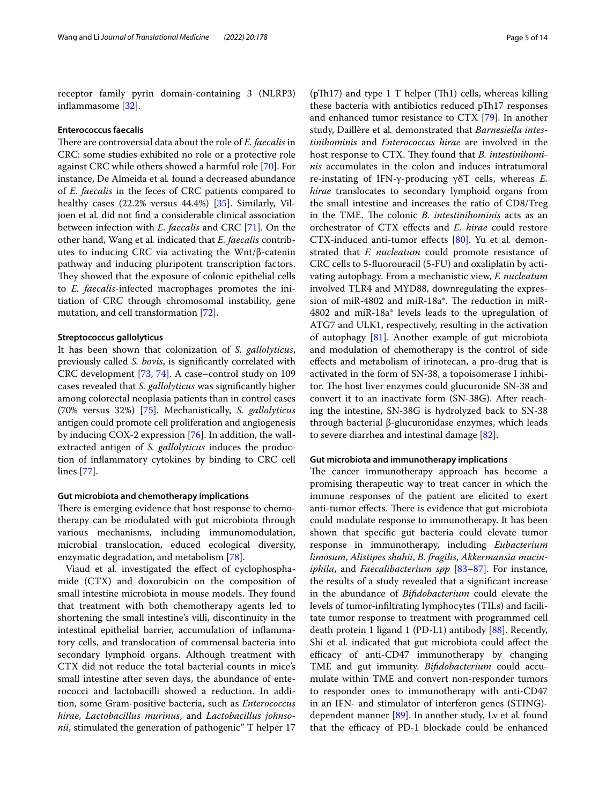receptor family pyrin domain-containing 3 (NLRP3) infammasome [[32\]](#page-10-33).

#### **Enterococcus faecalis**

There are controversial data about the role of *E. faecalis* in CRC: some studies exhibited no role or a protective role against CRC while others showed a harmful role [\[70](#page-11-19)]. For instance, De Almeida et al*.* found a decreased abundance of *E. faecalis* in the feces of CRC patients compared to healthy cases (22.2% versus 44.4%) [\[35](#page-10-36)]. Similarly, Viljoen et al*.* did not fnd a considerable clinical association between infection with *E. faecalis* and CRC [\[71](#page-11-20)]. On the other hand, Wang et al*.* indicated that *E. faecalis* contributes to inducing CRC via activating the Wnt/β-catenin pathway and inducing pluripotent transcription factors. They showed that the exposure of colonic epithelial cells to *E. faecalis*-infected macrophages promotes the initiation of CRC through chromosomal instability, gene mutation, and cell transformation [[72\]](#page-11-21).

## **Streptococcus gallolyticus**

It has been shown that colonization of *S. gallolyticus*, previously called *S. bovis*, is signifcantly correlated with CRC development [[73](#page-11-22), [74](#page-11-23)]. A case–control study on 109 cases revealed that *S. gallolyticus* was signifcantly higher among colorectal neoplasia patients than in control cases (70% versus 32%) [[75\]](#page-11-24). Mechanistically, *S. gallolyticus* antigen could promote cell proliferation and angiogenesis by inducing COX-2 expression [[76](#page-11-25)]. In addition, the wallextracted antigen of *S. gallolyticus* induces the production of infammatory cytokines by binding to CRC cell lines [\[77\]](#page-11-26).

#### **Gut microbiota and chemotherapy implications**

There is emerging evidence that host response to chemotherapy can be modulated with gut microbiota through various mechanisms, including immunomodulation, microbial translocation, educed ecological diversity, enzymatic degradation, and metabolism [[78](#page-11-27)].

Viaud et al*.* investigated the efect of cyclophosphamide (CTX) and doxorubicin on the composition of small intestine microbiota in mouse models. They found that treatment with both chemotherapy agents led to shortening the small intestine's villi, discontinuity in the intestinal epithelial barrier, accumulation of infammatory cells, and translocation of commensal bacteria into secondary lymphoid organs. Although treatment with CTX did not reduce the total bacterial counts in mice's small intestine after seven days, the abundance of enterococci and lactobacilli showed a reduction. In addition, some Gram-positive bacteria, such as *Enterococcus hirae*, *Lactobacillus murinus*, and *Lactobacillus johnsonii*, stimulated the generation of pathogenic" T helper 17

 $(pTh17)$  and type 1 T helper (Th1) cells, whereas killing these bacteria with antibiotics reduced pTh17 responses and enhanced tumor resistance to CTX [\[79](#page-11-28)]. In another study, Daillère et al*.* demonstrated that *Barnesiella intestinihominis* and *Enterococcus hirae* are involved in the host response to CTX. They found that *B. intestinihominis* accumulates in the colon and induces intratumoral re-instating of IFN-γ-producing γδT cells, whereas *E. hirae* translocates to secondary lymphoid organs from the small intestine and increases the ratio of CD8/Treg in the TME. The colonic *B. intestinihominis* acts as an orchestrator of CTX efects and *E. hirae* could restore CTX-induced anti-tumor efects [[80\]](#page-11-29). Yu et al*.* demonstrated that *F. nucleatum* could promote resistance of CRC cells to 5-fuorouracil (5-FU) and oxaliplatin by activating autophagy. From a mechanistic view, *F. nucleatum* involved TLR4 and MYD88, downregulating the expression of miR-4802 and miR-18a\*. The reduction in miR-4802 and miR-18a\* levels leads to the upregulation of ATG7 and ULK1, respectively, resulting in the activation of autophagy [\[81\]](#page-11-30). Another example of gut microbiota and modulation of chemotherapy is the control of side efects and metabolism of irinotecan, a pro-drug that is activated in the form of SN-38, a topoisomerase I inhibitor. The host liver enzymes could glucuronide SN-38 and convert it to an inactivate form (SN-38G). After reaching the intestine, SN-38G is hydrolyzed back to SN-38 through bacterial β-glucuronidase enzymes, which leads to severe diarrhea and intestinal damage [[82\]](#page-11-31).

#### **Gut microbiota and immunotherapy implications**

The cancer immunotherapy approach has become a promising therapeutic way to treat cancer in which the immune responses of the patient are elicited to exert anti-tumor effects. There is evidence that gut microbiota could modulate response to immunotherapy. It has been shown that specifc gut bacteria could elevate tumor response in immunotherapy, including *Eubacterium limosum*, *Alistipes shahii*, *B. fragilis*, *Akkermansia muciniphila*, and *Faecalibacterium spp* [[83](#page-11-32)[–87](#page-11-33)]. For instance, the results of a study revealed that a signifcant increase in the abundance of *Bifdobacterium* could elevate the levels of tumor-infltrating lymphocytes (TILs) and facilitate tumor response to treatment with programmed cell death protein 1 ligand 1 (PD-L1) antibody [[88\]](#page-11-34). Recently, Shi et al*.* indicated that gut microbiota could afect the efficacy of anti-CD47 immunotherapy by changing TME and gut immunity. *Bifdobacterium* could accumulate within TME and convert non-responder tumors to responder ones to immunotherapy with anti-CD47 in an IFN- and stimulator of interferon genes (STING) dependent manner [[89\]](#page-11-35). In another study, Lv et al*.* found that the efficacy of PD-1 blockade could be enhanced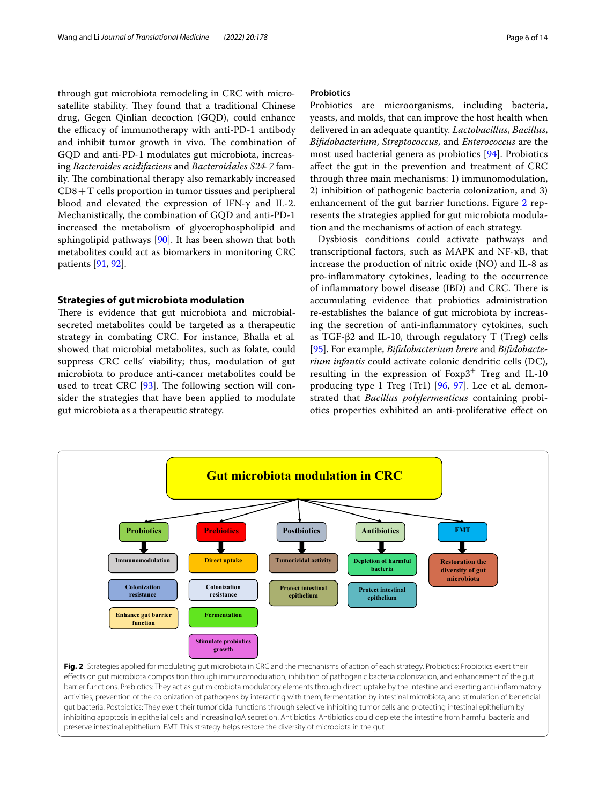through gut microbiota remodeling in CRC with microsatellite stability. They found that a traditional Chinese drug, Gegen Qinlian decoction (GQD), could enhance the efficacy of immunotherapy with anti-PD-1 antibody and inhibit tumor growth in vivo. The combination of GQD and anti-PD-1 modulates gut microbiota, increasing *Bacteroides acidifaciens* and *Bacteroidales S24-7* family. The combinational therapy also remarkably increased CD8+T cells proportion in tumor tissues and peripheral blood and elevated the expression of IFN-γ and IL-2. Mechanistically, the combination of GQD and anti-PD-1 increased the metabolism of glycerophospholipid and sphingolipid pathways [[90\]](#page-11-36). It has been shown that both metabolites could act as biomarkers in monitoring CRC patients [[91,](#page-11-37) [92\]](#page-11-38).

## **Strategies of gut microbiota modulation**

There is evidence that gut microbiota and microbialsecreted metabolites could be targeted as a therapeutic strategy in combating CRC. For instance, Bhalla et al*.* showed that microbial metabolites, such as folate, could suppress CRC cells' viability; thus, modulation of gut microbiota to produce anti-cancer metabolites could be used to treat CRC  $[93]$  $[93]$ . The following section will consider the strategies that have been applied to modulate gut microbiota as a therapeutic strategy.

## **Probiotics**

Probiotics are microorganisms, including bacteria, yeasts, and molds, that can improve the host health when delivered in an adequate quantity. *Lactobacillus*, *Bacillus*, *Bifdobacterium*, *Streptococcus*, and *Enterococcus* are the most used bacterial genera as probiotics [[94](#page-12-1)]. Probiotics afect the gut in the prevention and treatment of CRC through three main mechanisms: 1) immunomodulation, 2) inhibition of pathogenic bacteria colonization, and 3) enhancement of the gut barrier functions. Figure [2](#page-5-0) represents the strategies applied for gut microbiota modulation and the mechanisms of action of each strategy.

Dysbiosis conditions could activate pathways and transcriptional factors, such as MAPK and NF-κB, that increase the production of nitric oxide (NO) and IL-8 as pro-infammatory cytokines, leading to the occurrence of inflammatory bowel disease (IBD) and CRC. There is accumulating evidence that probiotics administration re-establishes the balance of gut microbiota by increasing the secretion of anti-infammatory cytokines, such as TGF-β2 and IL-10, through regulatory T (Treg) cells [[95\]](#page-12-2). For example, *Bifdobacterium breve* and *Bifdobacterium infantis* could activate colonic dendritic cells (DC), resulting in the expression of  $F\alpha p3$ <sup>+</sup> Treg and IL-10 producing type 1 Treg (Tr1) [\[96,](#page-12-3) [97\]](#page-12-4). Lee et al*.* demonstrated that *Bacillus polyfermenticus* containing probiotics properties exhibited an anti-proliferative efect on



<span id="page-5-0"></span>barrier functions. Prebiotics: They act as gut microbiota modulatory elements through direct uptake by the intestine and exerting anti-infammatory activities, prevention of the colonization of pathogens by interacting with them, fermentation by intestinal microbiota, and stimulation of benefcial gut bacteria. Postbiotics: They exert their tumoricidal functions through selective inhibiting tumor cells and protecting intestinal epithelium by inhibiting apoptosis in epithelial cells and increasing IgA secretion. Antibiotics: Antibiotics could deplete the intestine from harmful bacteria and preserve intestinal epithelium. FMT: This strategy helps restore the diversity of microbiota in the gut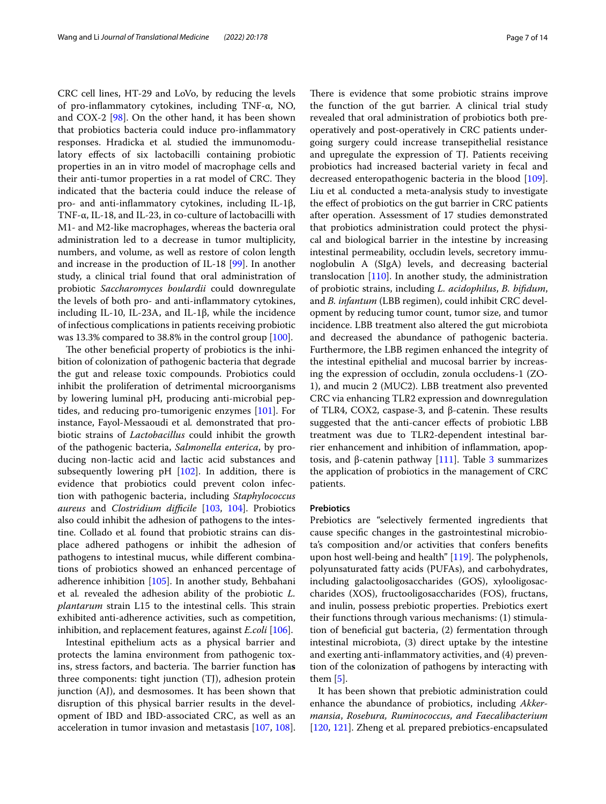CRC cell lines, HT-29 and LoVo, by reducing the levels of pro-infammatory cytokines, including TNF-α, NO, and COX-2 [\[98\]](#page-12-5). On the other hand, it has been shown that probiotics bacteria could induce pro-infammatory responses. Hradicka et al*.* studied the immunomodulatory efects of six lactobacilli containing probiotic properties in an in vitro model of macrophage cells and their anti-tumor properties in a rat model of CRC. They indicated that the bacteria could induce the release of pro- and anti-infammatory cytokines, including IL-1β, TNF-α, IL-18, and IL-23, in co-culture of lactobacilli with M1- and M2-like macrophages, whereas the bacteria oral administration led to a decrease in tumor multiplicity, numbers, and volume, as well as restore of colon length and increase in the production of IL-18 [\[99](#page-12-6)]. In another study, a clinical trial found that oral administration of probiotic *Saccharomyces boulardii* could downregulate the levels of both pro- and anti-infammatory cytokines, including IL-10, IL-23A, and IL-1β, while the incidence of infectious complications in patients receiving probiotic was 13.3% compared to 38.8% in the control group [[100\]](#page-12-7).

The other beneficial property of probiotics is the inhibition of colonization of pathogenic bacteria that degrade the gut and release toxic compounds. Probiotics could inhibit the proliferation of detrimental microorganisms by lowering luminal pH, producing anti-microbial peptides, and reducing pro-tumorigenic enzymes [\[101](#page-12-8)]. For instance, Fayol-Messaoudi et al*.* demonstrated that probiotic strains of *Lactobacillus* could inhibit the growth of the pathogenic bacteria, *Salmonella enterica*, by producing non-lactic acid and lactic acid substances and subsequently lowering pH [\[102\]](#page-12-9). In addition, there is evidence that probiotics could prevent colon infection with pathogenic bacteria, including *Staphylococcus aureus* and *Clostridium difficile* [[103](#page-12-10), [104](#page-12-11)]. Probiotics also could inhibit the adhesion of pathogens to the intestine. Collado et al*.* found that probiotic strains can displace adhered pathogens or inhibit the adhesion of pathogens to intestinal mucus, while diferent combinations of probiotics showed an enhanced percentage of adherence inhibition [[105\]](#page-12-12). In another study, Behbahani et al*.* revealed the adhesion ability of the probiotic *L. plantarum* strain L15 to the intestinal cells. This strain exhibited anti-adherence activities, such as competition, inhibition, and replacement features, against *E.coli* [\[106\]](#page-12-13).

Intestinal epithelium acts as a physical barrier and protects the lamina environment from pathogenic toxins, stress factors, and bacteria. The barrier function has three components: tight junction (TJ), adhesion protein junction (AJ), and desmosomes. It has been shown that disruption of this physical barrier results in the development of IBD and IBD-associated CRC, as well as an acceleration in tumor invasion and metastasis [[107](#page-12-14), [108](#page-12-15)].

There is evidence that some probiotic strains improve the function of the gut barrier. A clinical trial study revealed that oral administration of probiotics both preoperatively and post-operatively in CRC patients undergoing surgery could increase transepithelial resistance and upregulate the expression of TJ. Patients receiving probiotics had increased bacterial variety in fecal and decreased enteropathogenic bacteria in the blood [\[109](#page-12-16)]. Liu et al*.* conducted a meta-analysis study to investigate the efect of probiotics on the gut barrier in CRC patients after operation. Assessment of 17 studies demonstrated that probiotics administration could protect the physical and biological barrier in the intestine by increasing intestinal permeability, occludin levels, secretory immunoglobulin A (SIgA) levels, and decreasing bacterial translocation [[110\]](#page-12-17). In another study, the administration of probiotic strains, including *L. acidophilus*, *B. bifdum*, and *B. infantum* (LBB regimen), could inhibit CRC development by reducing tumor count, tumor size, and tumor incidence. LBB treatment also altered the gut microbiota and decreased the abundance of pathogenic bacteria. Furthermore, the LBB regimen enhanced the integrity of the intestinal epithelial and mucosal barrier by increasing the expression of occludin, zonula occludens-1 (ZO-1), and mucin 2 (MUC2). LBB treatment also prevented CRC via enhancing TLR2 expression and downregulation of TLR4, COX2, caspase-3, and β-catenin. These results suggested that the anti-cancer efects of probiotic LBB treatment was due to TLR2-dependent intestinal barrier enhancement and inhibition of infammation, apoptosis, and β-catenin pathway  $[111]$  $[111]$ . Table [3](#page-7-0) summarizes the application of probiotics in the management of CRC patients.

#### **Prebiotics**

Prebiotics are "selectively fermented ingredients that cause specifc changes in the gastrointestinal microbiota's composition and/or activities that confers benefts upon host well-being and health"  $[119]$  $[119]$ . The polyphenols, polyunsaturated fatty acids (PUFAs), and carbohydrates, including galactooligosaccharides (GOS), xylooligosaccharides (XOS), fructooligosaccharides (FOS), fructans, and inulin, possess prebiotic properties. Prebiotics exert their functions through various mechanisms: (1) stimulation of benefcial gut bacteria, (2) fermentation through intestinal microbiota, (3) direct uptake by the intestine and exerting anti-infammatory activities, and (4) prevention of the colonization of pathogens by interacting with them [\[5](#page-9-4)].

It has been shown that prebiotic administration could enhance the abundance of probiotics, including *Akkermansia*, *Rosebura, Ruminococcus*, *and Faecalibacterium* [[120,](#page-12-20) [121](#page-12-21)]. Zheng et al*.* prepared prebiotics-encapsulated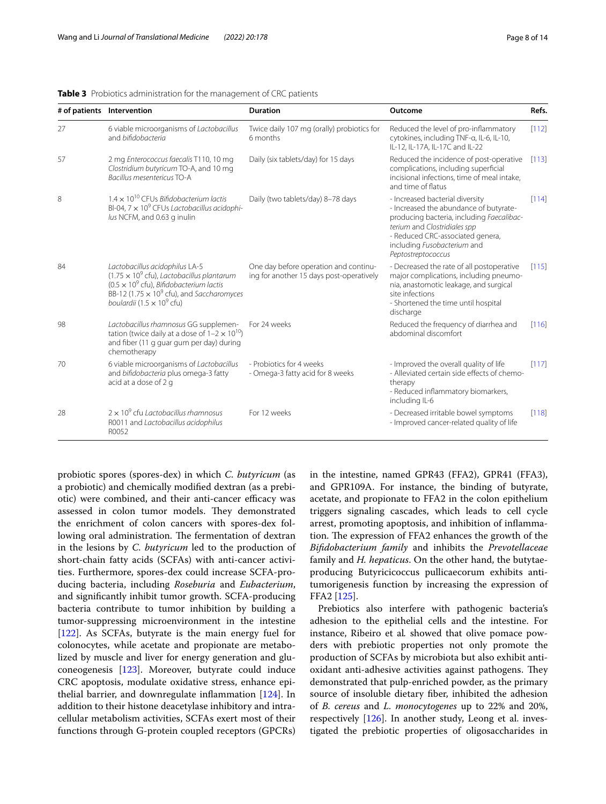|    | # of patients Intervention                                                                                                                                                                                                                                               | <b>Duration</b>                                                                   | Outcome                                                                                                                                                                                                                                         | Refs.   |
|----|--------------------------------------------------------------------------------------------------------------------------------------------------------------------------------------------------------------------------------------------------------------------------|-----------------------------------------------------------------------------------|-------------------------------------------------------------------------------------------------------------------------------------------------------------------------------------------------------------------------------------------------|---------|
| 27 | 6 viable microorganisms of Lactobacillus<br>and bifidobacteria                                                                                                                                                                                                           | Twice daily 107 mg (orally) probiotics for<br>6 months                            | Reduced the level of pro-inflammatory<br>cytokines, including TNF-a, IL-6, IL-10,<br>IL-12, IL-17A, IL-17C and IL-22                                                                                                                            | [112]   |
| 57 | 2 mg Enterococcus faecalis T110, 10 mg<br>Clostridium butyricum TO-A, and 10 mg<br>Bacillus mesentericus TO-A                                                                                                                                                            | Daily (six tablets/day) for 15 days                                               | Reduced the incidence of post-operative<br>complications, including superficial<br>incisional infections, time of meal intake,<br>and time of flatus                                                                                            | [113]   |
| 8  | $1.4 \times 10^{10}$ CFUs Bifidobacterium lactis<br>BI-04, $7 \times 10^9$ CFUs Lactobacillus acidophi-<br>lus NCFM, and 0.63 g inulin                                                                                                                                   | Daily (two tablets/day) 8-78 days                                                 | - Increased bacterial diversity<br>- Increased the abundance of butyrate-<br>producing bacteria, including Faecalibac-<br>terium and Clostridiales spp<br>- Reduced CRC-associated genera,<br>including Fusobacterium and<br>Peptostreptococcus | $[114]$ |
| 84 | Lactobacillus acidophilus LA-5<br>$(1.75 \times 10^9 \text{ cft})$ , Lactobacillus plantarum<br>$(0.5 \times 10^9 \text{ cft})$ , Bifidobacterium lactis<br>BB-12 (1.75 $\times$ 10 <sup>9</sup> cfu), and Saccharomyces<br>boulardii (1.5 $\times$ 10 <sup>9</sup> cfu) | One day before operation and continu-<br>ing for another 15 days post-operatively | - Decreased the rate of all postoperative<br>major complications, including pneumo-<br>nia, anastomotic leakage, and surgical<br>site infections<br>- Shortened the time until hospital<br>discharge                                            | [115]   |
| 98 | Lactobacillus rhamnosus GG supplemen-<br>tation (twice daily at a dose of $1-2 \times 10^{10}$ )<br>and fiber (11 g guar gum per day) during<br>chemotherapy                                                                                                             | For 24 weeks                                                                      | Reduced the frequency of diarrhea and<br>abdominal discomfort                                                                                                                                                                                   | [116]   |
| 70 | 6 viable microorganisms of Lactobacillus<br>and bifidobacteria plus omega-3 fatty<br>acid at a dose of 2 g                                                                                                                                                               | - Probiotics for 4 weeks<br>- Omega-3 fatty acid for 8 weeks                      | - Improved the overall quality of life<br>- Alleviated certain side effects of chemo-<br>therapy<br>- Reduced inflammatory biomarkers,<br>including IL-6                                                                                        | [117]   |
| 28 | $2 \times 10^9$ cfu Lactobacillus rhamnosus<br>R0011 and Lactobacillus acidophilus<br>R0052                                                                                                                                                                              | For 12 weeks                                                                      | - Decreased irritable bowel symptoms<br>- Improved cancer-related quality of life                                                                                                                                                               | [118]   |

<span id="page-7-0"></span>**Table 3** Probiotics administration for the management of CRC patients

probiotic spores (spores-dex) in which *C. butyricum* (as a probiotic) and chemically modifed dextran (as a prebiotic) were combined, and their anti-cancer efficacy was assessed in colon tumor models. They demonstrated the enrichment of colon cancers with spores-dex following oral administration. The fermentation of dextran in the lesions by *C. butyricum* led to the production of short-chain fatty acids (SCFAs) with anti-cancer activities. Furthermore, spores-dex could increase SCFA-producing bacteria, including *Roseburia* and *Eubacterium*, and signifcantly inhibit tumor growth. SCFA-producing bacteria contribute to tumor inhibition by building a tumor-suppressing microenvironment in the intestine [[122\]](#page-12-22). As SCFAs, butyrate is the main energy fuel for colonocytes, while acetate and propionate are metabolized by muscle and liver for energy generation and gluconeogenesis [\[123\]](#page-12-23). Moreover, butyrate could induce CRC apoptosis, modulate oxidative stress, enhance epithelial barrier, and downregulate infammation [\[124\]](#page-12-24). In addition to their histone deacetylase inhibitory and intracellular metabolism activities, SCFAs exert most of their functions through G-protein coupled receptors (GPCRs) in the intestine, named GPR43 (FFA2), GPR41 (FFA3), and GPR109A. For instance, the binding of butyrate, acetate, and propionate to FFA2 in the colon epithelium triggers signaling cascades, which leads to cell cycle arrest, promoting apoptosis, and inhibition of infammation. The expression of FFA2 enhances the growth of the *Bifdobacterium family* and inhibits the *Prevotellaceae* family and *H. hepaticus*. On the other hand, the butytaeproducing Butyricicoccus pullicaecorum exhibits antitumorigenesis function by increasing the expression of FFA2 [\[125\]](#page-12-25).

Prebiotics also interfere with pathogenic bacteria's adhesion to the epithelial cells and the intestine. For instance, Ribeiro et al*.* showed that olive pomace powders with prebiotic properties not only promote the production of SCFAs by microbiota but also exhibit antioxidant anti-adhesive activities against pathogens. They demonstrated that pulp-enriched powder, as the primary source of insoluble dietary fber, inhibited the adhesion of *B. cereus* and *L. monocytogenes* up to 22% and 20%, respectively [\[126\]](#page-12-26). In another study, Leong et al. investigated the prebiotic properties of oligosaccharides in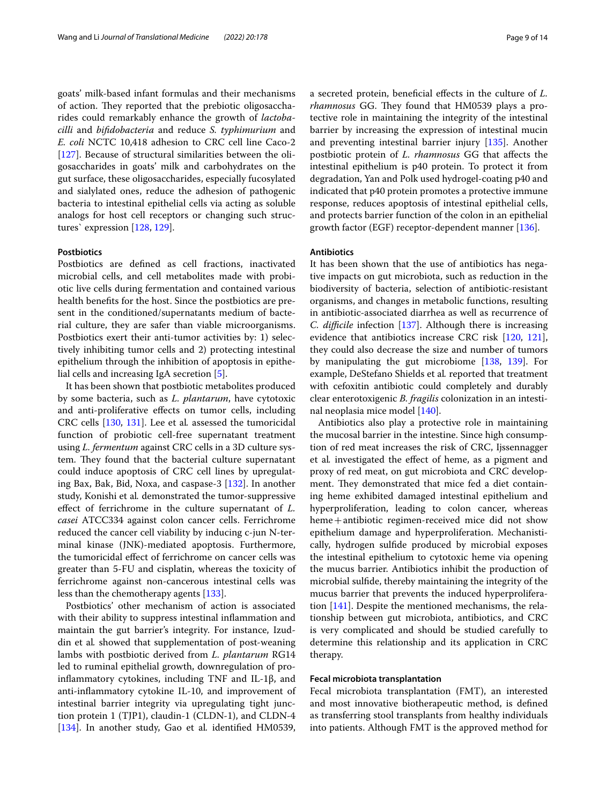goats' milk-based infant formulas and their mechanisms of action. They reported that the prebiotic oligosaccharides could remarkably enhance the growth of *lactobacilli* and *bifdobacteria* and reduce *S. typhimurium* and *E. coli* NCTC 10,418 adhesion to CRC cell line Caco-2 [[127\]](#page-12-34). Because of structural similarities between the oligosaccharides in goats' milk and carbohydrates on the gut surface, these oligosaccharides, especially fucosylated and sialylated ones, reduce the adhesion of pathogenic bacteria to intestinal epithelial cells via acting as soluble analogs for host cell receptors or changing such structures` expression [\[128,](#page-12-35) [129](#page-12-36)].

## **Postbiotics**

Postbiotics are defned as cell fractions, inactivated microbial cells, and cell metabolites made with probiotic live cells during fermentation and contained various health benefts for the host. Since the postbiotics are present in the conditioned/supernatants medium of bacterial culture, they are safer than viable microorganisms. Postbiotics exert their anti-tumor activities by: 1) selectively inhibiting tumor cells and 2) protecting intestinal epithelium through the inhibition of apoptosis in epithelial cells and increasing IgA secretion [\[5](#page-9-4)].

It has been shown that postbiotic metabolites produced by some bacteria, such as *L. plantarum*, have cytotoxic and anti-proliferative efects on tumor cells, including CRC cells [[130,](#page-12-37) [131\]](#page-12-38). Lee et al*.* assessed the tumoricidal function of probiotic cell-free supernatant treatment using *L. fermentum* against CRC cells in a 3D culture system. They found that the bacterial culture supernatant could induce apoptosis of CRC cell lines by upregulating Bax, Bak, Bid, Noxa, and caspase-3 [[132\]](#page-12-39). In another study, Konishi et al*.* demonstrated the tumor-suppressive efect of ferrichrome in the culture supernatant of *L. casei* ATCC334 against colon cancer cells. Ferrichrome reduced the cancer cell viability by inducing c-jun N-terminal kinase (JNK)-mediated apoptosis. Furthermore, the tumoricidal efect of ferrichrome on cancer cells was greater than 5-FU and cisplatin, whereas the toxicity of ferrichrome against non-cancerous intestinal cells was less than the chemotherapy agents [\[133](#page-12-40)].

Postbiotics' other mechanism of action is associated with their ability to suppress intestinal inflammation and maintain the gut barrier's integrity. For instance, Izuddin et al*.* showed that supplementation of post-weaning lambs with postbiotic derived from *L. plantarum* RG14 led to ruminal epithelial growth, downregulation of proinfammatory cytokines, including TNF and IL-1β, and anti-infammatory cytokine IL-10, and improvement of intestinal barrier integrity via upregulating tight junction protein 1 (TJP1), claudin-1 (CLDN-1), and CLDN-4 [[134\]](#page-13-0). In another study, Gao et al*.* identifed HM0539, a secreted protein, benefcial efects in the culture of *L. rhamnosus* GG. They found that HM0539 plays a protective role in maintaining the integrity of the intestinal barrier by increasing the expression of intestinal mucin and preventing intestinal barrier injury [[135](#page-13-1)]. Another postbiotic protein of *L. rhamnosus* GG that afects the intestinal epithelium is p40 protein. To protect it from degradation, Yan and Polk used hydrogel-coating p40 and indicated that p40 protein promotes a protective immune response, reduces apoptosis of intestinal epithelial cells, and protects barrier function of the colon in an epithelial growth factor (EGF) receptor-dependent manner [[136](#page-13-2)].

### **Antibiotics**

It has been shown that the use of antibiotics has negative impacts on gut microbiota, such as reduction in the biodiversity of bacteria, selection of antibiotic-resistant organisms, and changes in metabolic functions, resulting in antibiotic-associated diarrhea as well as recurrence of *C. difficile* infection [[137](#page-13-3)]. Although there is increasing evidence that antibiotics increase CRC risk [\[120,](#page-12-20) [121](#page-12-21)], they could also decrease the size and number of tumors by manipulating the gut microbiome [\[138](#page-13-4), [139\]](#page-13-5). For example, DeStefano Shields et al*.* reported that treatment with cefoxitin antibiotic could completely and durably clear enterotoxigenic *B. fragilis* colonization in an intestinal neoplasia mice model [[140](#page-13-6)].

Antibiotics also play a protective role in maintaining the mucosal barrier in the intestine. Since high consumption of red meat increases the risk of CRC, Ijssennagger et al*.* investigated the efect of heme, as a pigment and proxy of red meat, on gut microbiota and CRC development. They demonstrated that mice fed a diet containing heme exhibited damaged intestinal epithelium and hyperproliferation, leading to colon cancer, whereas heme+antibiotic regimen-received mice did not show epithelium damage and hyperproliferation. Mechanistically, hydrogen sulfde produced by microbial exposes the intestinal epithelium to cytotoxic heme via opening the mucus barrier. Antibiotics inhibit the production of microbial sulfde, thereby maintaining the integrity of the mucus barrier that prevents the induced hyperproliferation [\[141](#page-13-7)]. Despite the mentioned mechanisms, the relationship between gut microbiota, antibiotics, and CRC is very complicated and should be studied carefully to determine this relationship and its application in CRC therapy.

#### **Fecal microbiota transplantation**

Fecal microbiota transplantation (FMT), an interested and most innovative biotherapeutic method, is defned as transferring stool transplants from healthy individuals into patients. Although FMT is the approved method for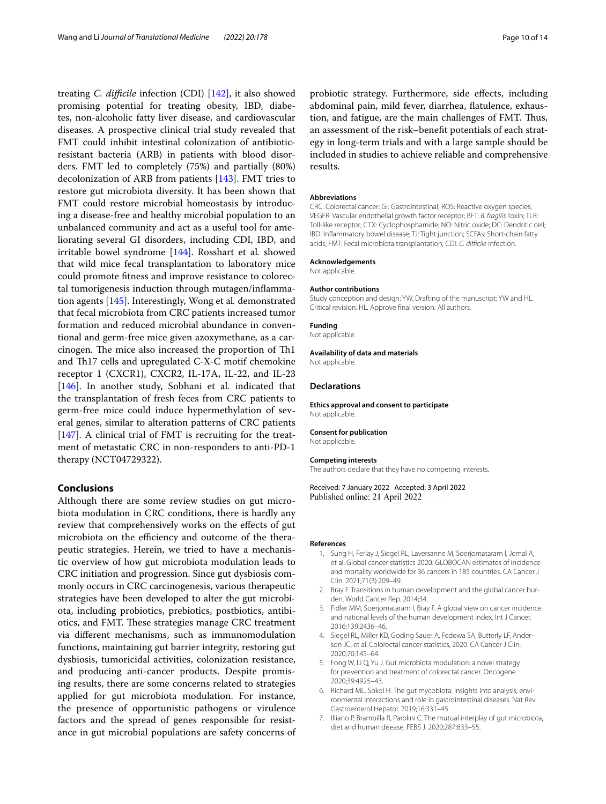treating *C. difficile* infection (CDI) [\[142](#page-13-8)], it also showed promising potential for treating obesity, IBD, diabetes, non-alcoholic fatty liver disease, and cardiovascular diseases. A prospective clinical trial study revealed that FMT could inhibit intestinal colonization of antibioticresistant bacteria (ARB) in patients with blood disorders. FMT led to completely (75%) and partially (80%) decolonization of ARB from patients [[143](#page-13-9)]. FMT tries to restore gut microbiota diversity. It has been shown that FMT could restore microbial homeostasis by introducing a disease-free and healthy microbial population to an unbalanced community and act as a useful tool for ameliorating several GI disorders, including CDI, IBD, and irritable bowel syndrome [\[144\]](#page-13-10). Rosshart et al*.* showed that wild mice fecal transplantation to laboratory mice could promote ftness and improve resistance to colorectal tumorigenesis induction through mutagen/infammation agents [\[145\]](#page-13-11). Interestingly, Wong et al*.* demonstrated that fecal microbiota from CRC patients increased tumor formation and reduced microbial abundance in conventional and germ-free mice given azoxymethane, as a carcinogen. The mice also increased the proportion of Th1 and Th17 cells and upregulated C-X-C motif chemokine receptor 1 (CXCR1), CXCR2, IL-17A, IL-22, and IL-23 [[146\]](#page-13-12). In another study, Sobhani et al*.* indicated that the transplantation of fresh feces from CRC patients to germ-free mice could induce hypermethylation of several genes, similar to alteration patterns of CRC patients [[147\]](#page-13-13). A clinical trial of FMT is recruiting for the treatment of metastatic CRC in non-responders to anti-PD-1 therapy (NCT04729322).

## **Conclusions**

Although there are some review studies on gut microbiota modulation in CRC conditions, there is hardly any review that comprehensively works on the efects of gut microbiota on the efficiency and outcome of the therapeutic strategies. Herein, we tried to have a mechanistic overview of how gut microbiota modulation leads to CRC initiation and progression. Since gut dysbiosis commonly occurs in CRC carcinogenesis, various therapeutic strategies have been developed to alter the gut microbiota, including probiotics, prebiotics, postbiotics, antibiotics, and FMT. These strategies manage CRC treatment via diferent mechanisms, such as immunomodulation functions, maintaining gut barrier integrity, restoring gut dysbiosis, tumoricidal activities, colonization resistance, and producing anti-cancer products. Despite promising results, there are some concerns related to strategies applied for gut microbiota modulation. For instance, the presence of opportunistic pathogens or virulence factors and the spread of genes responsible for resistance in gut microbial populations are safety concerns of

probiotic strategy. Furthermore, side efects, including abdominal pain, mild fever, diarrhea, fatulence, exhaustion, and fatigue, are the main challenges of FMT. Thus, an assessment of the risk–beneft potentials of each strategy in long-term trials and with a large sample should be included in studies to achieve reliable and comprehensive results.

#### **Abbreviations**

CRC: Colorectal cancer; GI: Gastrointestinal; ROS: Reactive oxygen species; VEGFR: Vascular endothelial growth factor receptor; BFT: *B. fragilis* Toxin; TLR: Toll-like receptor; CTX: Cyclophosphamide; NO: Nitric oxide; DC: Dendritic cell; IBD: Infammatory bowel disease; TJ: Tight junction; SCFAs: Short-chain fatty acids; FMT: Fecal microbiota transplantation; CDI: C. difficile Infection.

#### **Acknowledgements**

Not applicable.

#### **Author contributions**

Study conception and design: YW. Drafting of the manuscript: YW and HL. Critical revision: HL. Approve fnal version: All authors.

#### **Funding**

Not applicable.

## **Availability of data and materials**

Not applicable.

### **Declarations**

**Ethics approval and consent to participate** Not applicable.

#### **Consent for publication**

Not applicable.

#### **Competing interests**

The authors declare that they have no competing interests.

Received: 7 January 2022 Accepted: 3 April 2022 Published online: 21 April 2022

#### <span id="page-9-0"></span>**References**

- 1. Sung H, Ferlay J, Siegel RL, Laversanne M, Soerjomataram I, Jemal A, et al. Global cancer statistics 2020: GLOBOCAN estimates of incidence and mortality worldwide for 36 cancers in 185 countries. CA Cancer J Clin. 2021;71(3):209–49.
- <span id="page-9-1"></span>2. Bray F. Transitions in human development and the global cancer burden. World Cancer Rep. 2014;34.
- <span id="page-9-2"></span>3. Fidler MM, Soerjomataram I, Bray F. A global view on cancer incidence and national levels of the human development index. Int J Cancer. 2016;139:2436–46.
- <span id="page-9-3"></span>4. Siegel RL, Miller KD, Goding Sauer A, Fedewa SA, Butterly LF, Anderson JC, et al. Colorectal cancer statistics, 2020. CA Cancer J Clin. 2020;70:145–64.
- <span id="page-9-4"></span>5. Fong W, Li Q, Yu J. Gut microbiota modulation: a novel strategy for prevention and treatment of colorectal cancer. Oncogene. 2020;39:4925–43.
- <span id="page-9-5"></span>6. Richard ML, Sokol H. The gut mycobiota: insights into analysis, environmental interactions and role in gastrointestinal diseases. Nat Rev Gastroenterol Hepatol. 2019;16:331–45.
- <span id="page-9-6"></span>7. Illiano P, Brambilla R, Parolini C. The mutual interplay of gut microbiota, diet and human disease. FEBS J. 2020;287:833–55.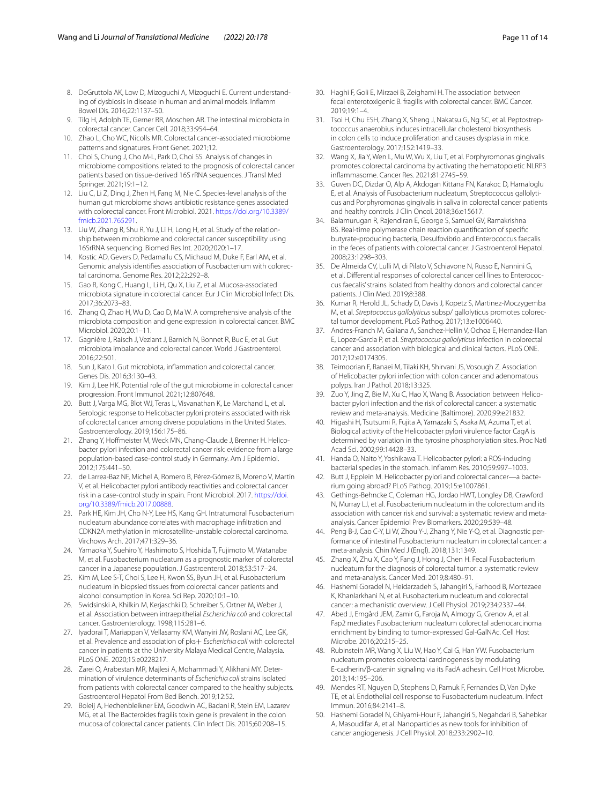- <span id="page-10-0"></span>8. DeGruttola AK, Low D, Mizoguchi A, Mizoguchi E. Current understanding of dysbiosis in disease in human and animal models. Infamm Bowel Dis. 2016;22:1137–50.
- <span id="page-10-1"></span>9. Tilg H, Adolph TE, Gerner RR, Moschen AR. The intestinal microbiota in colorectal cancer. Cancer Cell. 2018;33:954–64.
- <span id="page-10-2"></span>10. Zhao L, Cho WC, Nicolls MR. Colorectal cancer-associated microbiome patterns and signatures. Front Genet. 2021;12.
- <span id="page-10-5"></span>11. Choi S, Chung J, Cho M-L, Park D, Choi SS. Analysis of changes in microbiome compositions related to the prognosis of colorectal cancer patients based on tissue-derived 16S rRNA sequences. J Transl Med Springer. 2021;19:1–12.
- <span id="page-10-6"></span>12. Liu C, Li Z, Ding J, Zhen H, Fang M, Nie C. Species-level analysis of the human gut microbiome shows antibiotic resistance genes associated with colorectal cancer. Front Microbiol. 2021. [https://doi.org/10.3389/](https://doi.org/10.3389/fmicb.2021.765291) [fmicb.2021.765291](https://doi.org/10.3389/fmicb.2021.765291).
- <span id="page-10-7"></span>13. Liu W, Zhang R, Shu R, Yu J, Li H, Long H, et al. Study of the relationship between microbiome and colorectal cancer susceptibility using 16SrRNA sequencing. Biomed Res Int. 2020;2020:1–17.
- <span id="page-10-8"></span>14. Kostic AD, Gevers D, Pedamallu CS, Michaud M, Duke F, Earl AM, et al. Genomic analysis identifes association of Fusobacterium with colorectal carcinoma. Genome Res. 2012;22:292–8.
- <span id="page-10-9"></span>15. Gao R, Kong C, Huang L, Li H, Qu X, Liu Z, et al. Mucosa-associated microbiota signature in colorectal cancer. Eur J Clin Microbiol Infect Dis. 2017;36:2073–83.
- <span id="page-10-10"></span>16. Zhang Q, Zhao H, Wu D, Cao D, Ma W. A comprehensive analysis of the microbiota composition and gene expression in colorectal cancer. BMC Microbiol. 2020;20:1–11.
- <span id="page-10-3"></span>17. Gagnière J, Raisch J, Veziant J, Barnich N, Bonnet R, Buc E, et al. Gut microbiota imbalance and colorectal cancer. World J Gastroenterol. 2016;22:501.
- <span id="page-10-4"></span>18. Sun J, Kato I. Gut microbiota, infammation and colorectal cancer. Genes Dis. 2016;3:130–43.
- <span id="page-10-11"></span>19. Kim J, Lee HK. Potential role of the gut microbiome in colorectal cancer progression. Front Immunol. 2021;12:807648.
- <span id="page-10-21"></span>20. Butt J, Varga MG, Blot WJ, Teras L, Visvanathan K, Le Marchand L, et al. Serologic response to Helicobacter pylori proteins associated with risk of colorectal cancer among diverse populations in the United States. Gastroenterology. 2019;156:175–86.
- <span id="page-10-22"></span>21. Zhang Y, Hofmeister M, Weck MN, Chang-Claude J, Brenner H. Helicobacter pylori infection and colorectal cancer risk: evidence from a large population-based case-control study in Germany. Am J Epidemiol. 2012;175:441–50.
- <span id="page-10-23"></span>22. de Larrea-Baz NF, Michel A, Romero B, Pérez-Gómez B, Moreno V, Martín V, et al. Helicobacter pylori antibody reactivities and colorectal cancer risk in a case-control study in spain. Front Microbiol. 2017. [https://doi.](https://doi.org/10.3389/fmicb.2017.00888) [org/10.3389/fmicb.2017.00888.](https://doi.org/10.3389/fmicb.2017.00888)
- <span id="page-10-24"></span>23. Park HE, Kim JH, Cho N-Y, Lee HS, Kang GH. Intratumoral Fusobacterium nucleatum abundance correlates with macrophage infltration and CDKN2A methylation in microsatellite-unstable colorectal carcinoma. Virchows Arch. 2017;471:329–36.
- <span id="page-10-25"></span>24. Yamaoka Y, Suehiro Y, Hashimoto S, Hoshida T, Fujimoto M, Watanabe M, et al. Fusobacterium nucleatum as a prognostic marker of colorectal cancer in a Japanese population. J Gastroenterol. 2018;53:517–24.
- <span id="page-10-26"></span>25. Kim M, Lee S-T, Choi S, Lee H, Kwon SS, Byun JH, et al. Fusobacterium nucleatum in biopsied tissues from colorectal cancer patients and alcohol consumption in Korea. Sci Rep. 2020;10:1–10.
- <span id="page-10-27"></span>26. Swidsinski A, Khilkin M, Kerjaschki D, Schreiber S, Ortner M, Weber J, et al. Association between intraepithelial *Escherichia coli* and colorectal cancer. Gastroenterology. 1998;115:281–6.
- <span id="page-10-28"></span>27. Iyadorai T, Mariappan V, Vellasamy KM, Wanyiri JW, Roslani AC, Lee GK, et al. Prevalence and association of pks+ *Escherichia coli* with colorectal cancer in patients at the University Malaya Medical Centre, Malaysia. PLoS ONE. 2020;15:e0228217.
- <span id="page-10-29"></span>28. Zarei O, Arabestan MR, Majlesi A, Mohammadi Y, Alikhani MY. Determination of virulence determinants of *Escherichia coli* strains isolated from patients with colorectal cancer compared to the healthy subjects. Gastroenterol Hepatol From Bed Bench. 2019;12:52.
- <span id="page-10-30"></span>29. Boleij A, Hechenbleikner EM, Goodwin AC, Badani R, Stein EM, Lazarev MG, et al. The Bacteroides fragilis toxin gene is prevalent in the colon mucosa of colorectal cancer patients. Clin Infect Dis. 2015;60:208–15.
- <span id="page-10-31"></span>30. Haghi F, Goli E, Mirzaei B, Zeighami H. The association between fecal enterotoxigenic B. fragilis with colorectal cancer. BMC Cancer. 2019;19:1–4.
- <span id="page-10-32"></span>31. Tsoi H, Chu ESH, Zhang X, Sheng J, Nakatsu G, Ng SC, et al. Peptostreptococcus anaerobius induces intracellular cholesterol biosynthesis in colon cells to induce proliferation and causes dysplasia in mice. Gastroenterology. 2017;152:1419–33.
- <span id="page-10-33"></span>32. Wang X, Jia Y, Wen L, Mu W, Wu X, Liu T, et al. Porphyromonas gingivalis promotes colorectal carcinoma by activating the hematopoietic NLRP3 infammasome. Cancer Res. 2021;81:2745–59.
- <span id="page-10-34"></span>33. Guven DC, Dizdar O, Alp A, Akdogan Kittana FN, Karakoc D, Hamaloglu E, et al. Analysis of Fusobacterium nucleatum, Streptococcus gallolyticus and Porphyromonas gingivalis in saliva in colorectal cancer patients and healthy controls. J Clin Oncol. 2018;36:e15617.
- <span id="page-10-35"></span>34. Balamurugan R, Rajendiran E, George S, Samuel GV, Ramakrishna BS. Real-time polymerase chain reaction quantifcation of specifc butyrate-producing bacteria, Desulfovibrio and Enterococcus faecalis in the feces of patients with colorectal cancer. J Gastroenterol Hepatol. 2008;23:1298–303.
- <span id="page-10-36"></span>35. De Almeida CV, Lulli M, di Pilato V, Schiavone N, Russo E, Nannini G, et al. Diferential responses of colorectal cancer cell lines to Enterococcus faecalis' strains isolated from healthy donors and colorectal cancer patients. J Clin Med. 2019;8:388.
- <span id="page-10-37"></span>36. Kumar R, Herold JL, Schady D, Davis J, Kopetz S, Martinez-Moczygemba M, et al. *Streptococcus gallolyticus* subsp/ gallolyticus promotes colorectal tumor development. PLoS Pathog. 2017;13:e1006440.
- <span id="page-10-38"></span>37. Andres-Franch M, Galiana A, Sanchez-Hellin V, Ochoa E, Hernandez-Illan E, Lopez-Garcia P, et al. *Streptococcus gallolyticus* infection in colorectal cancer and association with biological and clinical factors. PLoS ONE. 2017;12:e0174305.
- <span id="page-10-12"></span>38. Teimoorian F, Ranaei M, Tilaki KH, Shirvani JS, Vosough Z. Association of Helicobacter pylori infection with colon cancer and adenomatous polyps. Iran J Pathol. 2018;13:325.
- <span id="page-10-13"></span>39. Zuo Y, Jing Z, Bie M, Xu C, Hao X, Wang B. Association between Helicobacter pylori infection and the risk of colorectal cancer: a systematic review and meta-analysis. Medicine (Baltimore). 2020;99:e21832.
- <span id="page-10-14"></span>40. Higashi H, Tsutsumi R, Fujita A, Yamazaki S, Asaka M, Azuma T, et al. Biological activity of the Helicobacter pylori virulence factor CagA is determined by variation in the tyrosine phosphorylation sites. Proc Natl Acad Sci. 2002;99:14428–33.
- <span id="page-10-15"></span>41. Handa O, Naito Y, Yoshikawa T. Helicobacter pylori: a ROS-inducing bacterial species in the stomach. Infamm Res. 2010;59:997–1003.
- <span id="page-10-16"></span>Butt J, Epplein M. Helicobacter pylori and colorectal cancer-a bacterium going abroad? PLoS Pathog. 2019;15:e1007861.
- <span id="page-10-17"></span>43. Gethings-Behncke C, Coleman HG, Jordao HWT, Longley DB, Crawford N, Murray LJ, et al. Fusobacterium nucleatum in the colorectum and its association with cancer risk and survival: a systematic review and metaanalysis. Cancer Epidemiol Prev Biomarkers. 2020;29:539–48.
- <span id="page-10-18"></span>44. Peng B-J, Cao C-Y, Li W, Zhou Y-J, Zhang Y, Nie Y-Q, et al. Diagnostic performance of intestinal Fusobacterium nucleatum in colorectal cancer: a meta-analysis. Chin Med J (Engl). 2018;131:1349.
- <span id="page-10-19"></span>45. Zhang X, Zhu X, Cao Y, Fang J, Hong J, Chen H. Fecal Fusobacterium nucleatum for the diagnosis of colorectal tumor: a systematic review and meta-analysis. Cancer Med. 2019;8:480–91.
- <span id="page-10-20"></span>46. Hashemi Goradel N, Heidarzadeh S, Jahangiri S, Farhood B, Mortezaee K, Khanlarkhani N, et al. Fusobacterium nucleatum and colorectal cancer: a mechanistic overview. J Cell Physiol. 2019;234:2337–44.
- <span id="page-10-39"></span>47. Abed J, Emgård JEM, Zamir G, Faroja M, Almogy G, Grenov A, et al. Fap2 mediates Fusobacterium nucleatum colorectal adenocarcinoma enrichment by binding to tumor-expressed Gal-GalNAc. Cell Host Microbe. 2016;20:215–25.
- <span id="page-10-40"></span>48. Rubinstein MR, Wang X, Liu W, Hao Y, Cai G, Han YW. Fusobacterium nucleatum promotes colorectal carcinogenesis by modulating E-cadherin/β-catenin signaling via its FadA adhesin. Cell Host Microbe. 2013;14:195–206.
- <span id="page-10-41"></span>49. Mendes RT, Nguyen D, Stephens D, Pamuk F, Fernandes D, Van Dyke TE, et al. Endothelial cell response to Fusobacterium nucleatum. Infect Immun. 2016;84:2141–8.
- <span id="page-10-42"></span>50. Hashemi Goradel N, Ghiyami-Hour F, Jahangiri S, Negahdari B, Sahebkar A, Masoudifar A, et al. Nanoparticles as new tools for inhibition of cancer angiogenesis. J Cell Physiol. 2018;233:2902–10.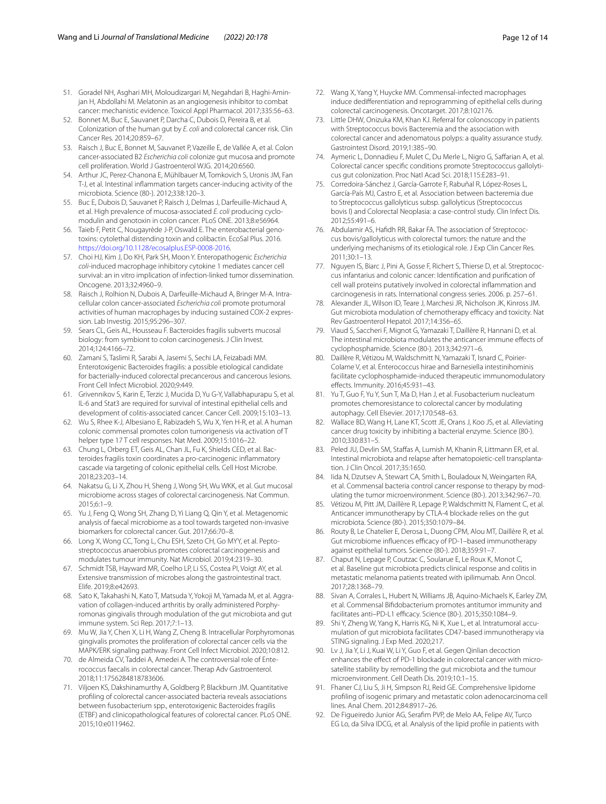- <span id="page-11-0"></span>51. Goradel NH, Asghari MH, Moloudizargari M, Negahdari B, Haghi-Aminjan H, Abdollahi M. Melatonin as an angiogenesis inhibitor to combat cancer: mechanistic evidence. Toxicol Appl Pharmacol. 2017;335:56–63.
- <span id="page-11-1"></span>52. Bonnet M, Buc E, Sauvanet P, Darcha C, Dubois D, Pereira B, et al. Colonization of the human gut by *E. coli* and colorectal cancer risk. Clin Cancer Res. 2014;20:859–67.
- <span id="page-11-2"></span>53. Raisch J, Buc E, Bonnet M, Sauvanet P, Vazeille E, de Vallée A, et al. Colon cancer-associated B2 *Escherichia coli* colonize gut mucosa and promote cell proliferation. World J Gastroenterol WJG. 2014;20:6560.
- <span id="page-11-3"></span>54. Arthur JC, Perez-Chanona E, Mühlbauer M, Tomkovich S, Uronis JM, Fan T-J, et al. Intestinal infammation targets cancer-inducing activity of the microbiota. Science (80-). 2012;338:120–3.
- <span id="page-11-4"></span>55. Buc E, Dubois D, Sauvanet P, Raisch J, Delmas J, Darfeuille-Michaud A, et al. High prevalence of mucosa-associated *E. coli* producing cyclomodulin and genotoxin in colon cancer. PLoS ONE. 2013;8:e56964.
- <span id="page-11-5"></span>56. Taieb F, Petit C, Nougayrède J-P, Oswald E. The enterobacterial genotoxins: cytolethal distending toxin and colibactin. EcoSal Plus. 2016. [https://doi.org/10.1128/ecosalplus.ESP-0008-2016.](https://doi.org/10.1128/ecosalplus.ESP-0008-2016)
- <span id="page-11-6"></span>57. Choi HJ, Kim J, Do KH, Park SH, Moon Y. Enteropathogenic *Escherichia coli*-induced macrophage inhibitory cytokine 1 mediates cancer cell survival: an in vitro implication of infection-linked tumor dissemination. Oncogene. 2013;32:4960–9.
- <span id="page-11-7"></span>58. Raisch J, Rolhion N, Dubois A, Darfeuille-Michaud A, Bringer M-A. Intracellular colon cancer-associated *Escherichia coli* promote protumoral activities of human macrophages by inducing sustained COX-2 expression. Lab Investig. 2015;95:296–307.
- <span id="page-11-8"></span>59. Sears CL, Geis AL, Housseau F. Bacteroides fragilis subverts mucosal biology: from symbiont to colon carcinogenesis. J Clin Invest. 2014;124:4166–72.
- <span id="page-11-9"></span>60. Zamani S, Taslimi R, Sarabi A, Jasemi S, Sechi LA, Feizabadi MM. Enterotoxigenic Bacteroides fragilis: a possible etiological candidate for bacterially-induced colorectal precancerous and cancerous lesions. Front Cell Infect Microbiol. 2020;9:449.
- <span id="page-11-10"></span>61. Grivennikov S, Karin E, Terzic J, Mucida D, Yu G-Y, Vallabhapurapu S, et al. IL-6 and Stat3 are required for survival of intestinal epithelial cells and development of colitis-associated cancer. Cancer Cell. 2009;15:103–13.
- <span id="page-11-11"></span>62. Wu S, Rhee K-J, Albesiano E, Rabizadeh S, Wu X, Yen H-R, et al. A human colonic commensal promotes colon tumorigenesis via activation of T helper type 17 T cell responses. Nat Med. 2009;15:1016–22.
- <span id="page-11-12"></span>63. Chung L, Orberg ET, Geis AL, Chan JL, Fu K, Shields CED, et al. Bacteroides fragilis toxin coordinates a pro-carcinogenic infammatory cascade via targeting of colonic epithelial cells. Cell Host Microbe. 2018;23:203–14.
- <span id="page-11-13"></span>64. Nakatsu G, Li X, Zhou H, Sheng J, Wong SH, Wu WKK, et al. Gut mucosal microbiome across stages of colorectal carcinogenesis. Nat Commun. 2015;6:1–9.
- <span id="page-11-14"></span>65. Yu J, Feng Q, Wong SH, Zhang D, Yi Liang Q, Qin Y, et al. Metagenomic analysis of faecal microbiome as a tool towards targeted non-invasive biomarkers for colorectal cancer. Gut. 2017;66:70–8.
- <span id="page-11-15"></span>66. Long X, Wong CC, Tong L, Chu ESH, Szeto CH, Go MYY, et al. Peptostreptococcus anaerobius promotes colorectal carcinogenesis and modulates tumour immunity. Nat Microbiol. 2019;4:2319–30.
- <span id="page-11-16"></span>67. Schmidt TSB, Hayward MR, Coelho LP, Li SS, Costea PI, Voigt AY, et al. Extensive transmission of microbes along the gastrointestinal tract. Elife. 2019;8:e42693.
- <span id="page-11-17"></span>68. Sato K, Takahashi N, Kato T, Matsuda Y, Yokoji M, Yamada M, et al. Aggravation of collagen-induced arthritis by orally administered Porphyromonas gingivalis through modulation of the gut microbiota and gut immune system. Sci Rep. 2017;7:1–13.
- <span id="page-11-18"></span>Mu W, Jia Y, Chen X, Li H, Wang Z, Cheng B. Intracellular Porphyromonas gingivalis promotes the proliferation of colorectal cancer cells via the MAPK/ERK signaling pathway. Front Cell Infect Microbiol. 2020;10:812.
- <span id="page-11-19"></span>70. de Almeida CV, Taddei A, Amedei A. The controversial role of Enterococcus faecalis in colorectal cancer. Therap Adv Gastroenterol. 2018;11:1756284818783606.
- <span id="page-11-20"></span>71. Viljoen KS, Dakshinamurthy A, Goldberg P, Blackburn JM. Quantitative profling of colorectal cancer-associated bacteria reveals associations between fusobacterium spp., enterotoxigenic Bacteroides fragilis (ETBF) and clinicopathological features of colorectal cancer. PLoS ONE. 2015;10:e0119462.
- <span id="page-11-21"></span>72. Wang X, Yang Y, Huycke MM. Commensal-infected macrophages induce dediferentiation and reprogramming of epithelial cells during colorectal carcinogenesis. Oncotarget. 2017;8:102176.
- <span id="page-11-22"></span>73. Little DHW, Onizuka KM, Khan KJ. Referral for colonoscopy in patients with Streptococcus bovis Bacteremia and the association with colorectal cancer and adenomatous polyps: a quality assurance study. Gastrointest Disord. 2019;1:385–90.
- <span id="page-11-23"></span>74. Aymeric L, Donnadieu F, Mulet C, Du Merle L, Nigro G, Safarian A, et al. Colorectal cancer specifc conditions promote Streptococcus gallolyticus gut colonization. Proc Natl Acad Sci. 2018;115:E283–91.
- <span id="page-11-24"></span>75. Corredoira-Sánchez J, García-Garrote F, Rabuñal R, López-Roses L, García-País MJ, Castro E, et al. Association between bacteremia due to Streptococcus gallolyticus subsp. gallolyticus (Streptococcus bovis I) and Colorectal Neoplasia: a case-control study. Clin Infect Dis. 2012;55:491–6.
- <span id="page-11-25"></span>76. Abdulamir AS, Hafdh RR, Bakar FA. The association of Streptococcus bovis/gallolyticus with colorectal tumors: the nature and the underlying mechanisms of its etiological role. J Exp Clin Cancer Res. 2011;30:1–13.
- <span id="page-11-26"></span>77. Nguyen IS, Biarc J, Pini A, Gosse F, Richert S, Thierse D, et al. Streptococcus infantarius and colonic cancer: Identifcation and purifcation of cell wall proteins putatively involved in colorectal infammation and carcinogenesis in rats. International congress series. 2006. p. 257–61.
- <span id="page-11-27"></span>78. Alexander JL, Wilson ID, Teare J, Marchesi JR, Nicholson JK, Kinross JM. Gut microbiota modulation of chemotherapy efficacy and toxicity. Nat Rev Gastroenterol Hepatol. 2017;14:356–65.
- <span id="page-11-28"></span>79. Viaud S, Saccheri F, Mignot G, Yamazaki T, Daillère R, Hannani D, et al. The intestinal microbiota modulates the anticancer immune efects of cyclophosphamide. Science (80-). 2013;342:971–6.
- <span id="page-11-29"></span>80. Daillère R, Vétizou M, Waldschmitt N, Yamazaki T, Isnard C, Poirier-Colame V, et al. Enterococcus hirae and Barnesiella intestinihominis facilitate cyclophosphamide-induced therapeutic immunomodulatory efects. Immunity. 2016;45:931–43.
- <span id="page-11-30"></span>81. Yu T, Guo F, Yu Y, Sun T, Ma D, Han J, et al. Fusobacterium nucleatum promotes chemoresistance to colorectal cancer by modulating autophagy. Cell Elsevier. 2017;170:548–63.
- <span id="page-11-31"></span>82. Wallace BD, Wang H, Lane KT, Scott JE, Orans J, Koo JS, et al. Alleviating cancer drug toxicity by inhibiting a bacterial enzyme. Science (80-). 2010;330:831–5.
- <span id="page-11-32"></span>83. Peled JU, Devlin SM, Staffas A, Lumish M, Khanin R, Littmann ER, et al. Intestinal microbiota and relapse after hematopoietic-cell transplantation. J Clin Oncol. 2017;35:1650.
- 84. Iida N, Dzutsev A, Stewart CA, Smith L, Bouladoux N, Weingarten RA, et al. Commensal bacteria control cancer response to therapy by modulating the tumor microenvironment. Science (80-). 2013;342:967–70.
- 85. Vétizou M, Pitt JM, Daillère R, Lepage P, Waldschmitt N, Flament C, et al. Anticancer immunotherapy by CTLA-4 blockade relies on the gut microbiota. Science (80-). 2015;350:1079–84.
- 86. Routy B, Le Chatelier E, Derosa L, Duong CPM, Alou MT, Daillère R, et al. Gut microbiome influences efficacy of PD-1-based immunotherapy against epithelial tumors. Science (80-). 2018;359:91–7.
- <span id="page-11-33"></span>87. Chaput N, Lepage P, Coutzac C, Soularue E, Le Roux K, Monot C, et al. Baseline gut microbiota predicts clinical response and colitis in metastatic melanoma patients treated with ipilimumab. Ann Oncol. 2017;28:1368–79.
- <span id="page-11-34"></span>88. Sivan A, Corrales L, Hubert N, Williams JB, Aquino-Michaels K, Earley ZM, et al. Commensal Bifdobacterium promotes antitumor immunity and facilitates anti-PD-L1 efficacy. Science (80-). 2015;350:1084-9.
- <span id="page-11-35"></span>89. Shi Y, Zheng W, Yang K, Harris KG, Ni K, Xue L, et al. Intratumoral accumulation of gut microbiota facilitates CD47-based immunotherapy via STING signaling. J Exp Med. 2020;217.
- <span id="page-11-36"></span>90. Lv J, Jia Y, Li J, Kuai W, Li Y, Guo F, et al. Gegen Qinlian decoction enhances the effect of PD-1 blockade in colorectal cancer with microsatellite stability by remodelling the gut microbiota and the tumour microenvironment. Cell Death Dis. 2019;10:1–15.
- <span id="page-11-37"></span>91. Fhaner CJ, Liu S, Ji H, Simpson RJ, Reid GE. Comprehensive lipidome profling of isogenic primary and metastatic colon adenocarcinoma cell lines. Anal Chem. 2012;84:8917–26.
- <span id="page-11-38"></span>92. De Figueiredo Junior AG, Serafm PVP, de Melo AA, Felipe AV, Turco EG Lo, da Silva IDCG, et al. Analysis of the lipid profle in patients with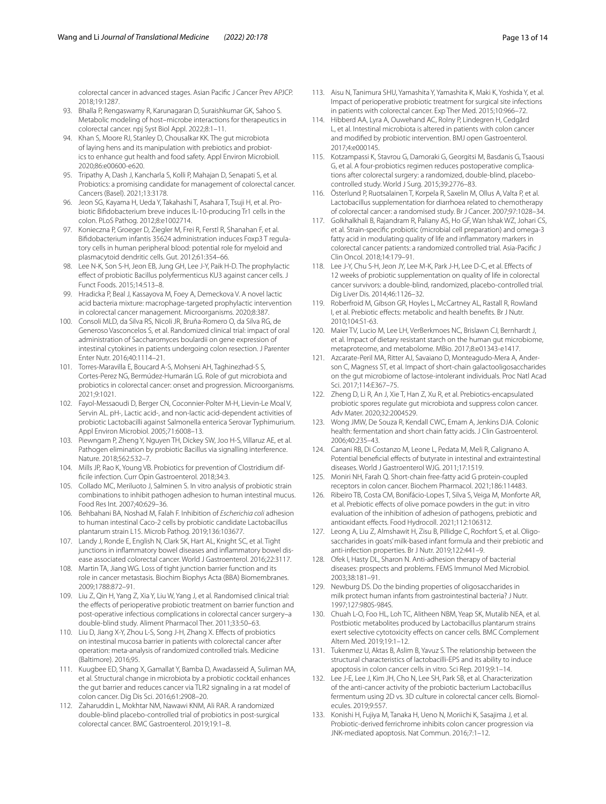colorectal cancer in advanced stages. Asian Pacifc J Cancer Prev APJCP. 2018;19:1287.

- <span id="page-12-0"></span>93. Bhalla P, Rengaswamy R, Karunagaran D, Suraishkumar GK, Sahoo S. Metabolic modeling of host–microbe interactions for therapeutics in colorectal cancer. npj Syst Biol Appl. 2022;8:1–11.
- <span id="page-12-1"></span>Khan S, Moore RJ, Stanley D, Chousalkar KK. The gut microbiota of laying hens and its manipulation with prebiotics and probiotics to enhance gut health and food safety. Appl Environ Microbioll. 2020;86:e00600-e620.
- <span id="page-12-2"></span>95. Tripathy A, Dash J, Kancharla S, Kolli P, Mahajan D, Senapati S, et al. Probiotics: a promising candidate for management of colorectal cancer. Cancers (Basel). 2021;13:3178.
- <span id="page-12-3"></span>96. Jeon SG, Kayama H, Ueda Y, Takahashi T, Asahara T, Tsuji H, et al. Probiotic Bifdobacterium breve induces IL-10-producing Tr1 cells in the colon. PLoS Pathog. 2012;8:e1002714.
- <span id="page-12-4"></span>97. Konieczna P, Groeger D, Ziegler M, Frei R, Ferstl R, Shanahan F, et al. Bifdobacterium infantis 35624 administration induces Foxp3 T regulatory cells in human peripheral blood: potential role for myeloid and plasmacytoid dendritic cells. Gut. 2012;61:354–66.
- <span id="page-12-5"></span>98. Lee N-K, Son S-H, Jeon EB, Jung GH, Lee J-Y, Paik H-D. The prophylactic efect of probiotic Bacillus polyfermenticus KU3 against cancer cells. J Funct Foods. 2015;14:513–8.
- <span id="page-12-6"></span>99. Hradicka P, Beal J, Kassayova M, Foey A, Demeckova V. A novel lactic acid bacteria mixture: macrophage-targeted prophylactic intervention in colorectal cancer management. Microorganisms. 2020;8:387.
- <span id="page-12-7"></span>100. Consoli MLD, da Silva RS, Nicoli JR, Bruña-Romero O, da Silva RG, de Generoso Vasconcelos S, et al. Randomized clinical trial: impact of oral administration of Saccharomyces boulardii on gene expression of intestinal cytokines in patients undergoing colon resection. J Parenter Enter Nutr. 2016;40:1114–21.
- <span id="page-12-8"></span>101. Torres-Maravilla E, Boucard A-S, Mohseni AH, Taghinezhad-S S, Cortes-Perez NG, Bermúdez-Humarán LG. Role of gut microbiota and probiotics in colorectal cancer: onset and progression. Microorganisms. 2021;9:1021.
- <span id="page-12-9"></span>102. Fayol-Messaoudi D, Berger CN, Coconnier-Polter M-H, Lievin-Le Moal V, Servin AL. pH-, Lactic acid-, and non-lactic acid-dependent activities of probiotic Lactobacilli against Salmonella enterica Serovar Typhimurium. Appl Environ Microbiol. 2005;71:6008–13.
- <span id="page-12-10"></span>103. Piewngam P, Zheng Y, Nguyen TH, Dickey SW, Joo H-S, Villaruz AE, et al. Pathogen elimination by probiotic Bacillus via signalling interference. Nature. 2018;562:532–7.
- <span id="page-12-11"></span>104. Mills JP, Rao K, Young VB. Probiotics for prevention of Clostridium diffcile infection. Curr Opin Gastroenterol. 2018;34:3.
- <span id="page-12-12"></span>105. Collado MC, Meriluoto J, Salminen S. In vitro analysis of probiotic strain combinations to inhibit pathogen adhesion to human intestinal mucus. Food Res Int. 2007;40:629–36.
- <span id="page-12-13"></span>106. Behbahani BA, Noshad M, Falah F. Inhibition of *Escherichia coli* adhesion to human intestinal Caco-2 cells by probiotic candidate Lactobacillus plantarum strain L15. Microb Pathog. 2019;136:103677.
- <span id="page-12-14"></span>107. Landy J, Ronde E, English N, Clark SK, Hart AL, Knight SC, et al. Tight junctions in inflammatory bowel diseases and inflammatory bowel disease associated colorectal cancer. World J Gastroenterol. 2016;22:3117.
- <span id="page-12-15"></span>108. Martin TA, Jiang WG. Loss of tight junction barrier function and its role in cancer metastasis. Biochim Biophys Acta (BBA) Biomembranes. 2009;1788:872–91.
- <span id="page-12-16"></span>109. Liu Z, Qin H, Yang Z, Xia Y, Liu W, Yang J, et al. Randomised clinical trial: the effects of perioperative probiotic treatment on barrier function and post-operative infectious complications in colorectal cancer surgery–a double-blind study. Aliment Pharmacol Ther. 2011;33:50–63.
- <span id="page-12-17"></span>110. Liu D, Jiang X-Y, Zhou L-S, Song J-H, Zhang X. Efects of probiotics on intestinal mucosa barrier in patients with colorectal cancer after operation: meta-analysis of randomized controlled trials. Medicine (Baltimore). 2016;95.
- <span id="page-12-18"></span>111. Kuugbee ED, Shang X, Gamallat Y, Bamba D, Awadasseid A, Suliman MA, et al. Structural change in microbiota by a probiotic cocktail enhances the gut barrier and reduces cancer via TLR2 signaling in a rat model of colon cancer. Dig Dis Sci. 2016;61:2908–20.
- <span id="page-12-27"></span>112. Zaharuddin L, Mokhtar NM, Nawawi KNM, Ali RAR. A randomized double-blind placebo-controlled trial of probiotics in post-surgical colorectal cancer. BMC Gastroenterol. 2019;19:1–8.
- <span id="page-12-28"></span>113. Aisu N, Tanimura SHU, Yamashita Y, Yamashita K, Maki K, Yoshida Y, et al. Impact of perioperative probiotic treatment for surgical site infections in patients with colorectal cancer. Exp Ther Med. 2015;10:966–72.
- <span id="page-12-29"></span>114. Hibberd AA, Lyra A, Ouwehand AC, Rolny P, Lindegren H, Cedgård L, et al. Intestinal microbiota is altered in patients with colon cancer and modifed by probiotic intervention. BMJ open Gastroenterol. 2017;4:e000145.
- <span id="page-12-30"></span>115. Kotzampassi K, Stavrou G, Damoraki G, Georgitsi M, Basdanis G, Tsaousi G, et al. A four-probiotics regimen reduces postoperative complications after colorectal surgery: a randomized, double-blind, placebocontrolled study. World J Surg. 2015;39:2776–83.
- <span id="page-12-31"></span>116. Österlund P, Ruotsalainen T, Korpela R, Saxelin M, Ollus A, Valta P, et al. Lactobacillus supplementation for diarrhoea related to chemotherapy of colorectal cancer: a randomised study. Br J Cancer. 2007;97:1028–34.
- <span id="page-12-32"></span>117. Golkhalkhali B, Rajandram R, Paliany AS, Ho GF, Wan Ishak WZ, Johari CS, et al. Strain-specifc probiotic (microbial cell preparation) and omega-3 fatty acid in modulating quality of life and infammatory markers in colorectal cancer patients: a randomized controlled trial. Asia-Pacifc J Clin Oncol. 2018;14:179–91.
- <span id="page-12-33"></span>118. Lee J-Y, Chu S-H, Jeon JY, Lee M-K, Park J-H, Lee D-C, et al. Efects of 12 weeks of probiotic supplementation on quality of life in colorectal cancer survivors: a double-blind, randomized, placebo-controlled trial. Dig Liver Dis. 2014;46:1126–32.
- <span id="page-12-19"></span>119. Roberfroid M, Gibson GR, Hoyles L, McCartney AL, Rastall R, Rowland I, et al. Prebiotic efects: metabolic and health benefts. Br J Nutr. 2010;104:S1-63.
- <span id="page-12-20"></span>120. Maier TV, Lucio M, Lee LH, VerBerkmoes NC, Brislawn CJ, Bernhardt J, et al. Impact of dietary resistant starch on the human gut microbiome, metaproteome, and metabolome. MBio. 2017;8:e01343-e1417.
- <span id="page-12-21"></span>121. Azcarate-Peril MA, Ritter AJ, Savaiano D, Monteagudo-Mera A, Anderson C, Magness ST, et al. Impact of short-chain galactooligosaccharides on the gut microbiome of lactose-intolerant individuals. Proc Natl Acad Sci. 2017;114:E367–75.
- <span id="page-12-22"></span>122. Zheng D, Li R, An J, Xie T, Han Z, Xu R, et al. Prebiotics-encapsulated probiotic spores regulate gut microbiota and suppress colon cancer. Adv Mater. 2020;32:2004529.
- <span id="page-12-23"></span>123. Wong JMW, De Souza R, Kendall CWC, Emam A, Jenkins DJA. Colonic health: fermentation and short chain fatty acids. J Clin Gastroenterol. 2006;40:235–43.
- <span id="page-12-24"></span>124. Canani RB, Di Costanzo M, Leone L, Pedata M, Meli R, Calignano A. Potential beneficial effects of butyrate in intestinal and extraintestinal diseases. World J Gastroenterol WJG. 2011;17:1519.
- <span id="page-12-25"></span>125. Moniri NH, Farah Q. Short-chain free-fatty acid G protein-coupled receptors in colon cancer. Biochem Pharmacol. 2021;186:114483.
- <span id="page-12-26"></span>126. Ribeiro TB, Costa CM, Bonifácio-Lopes T, Silva S, Veiga M, Monforte AR, et al. Prebiotic effects of olive pomace powders in the gut: in vitro evaluation of the inhibition of adhesion of pathogens, prebiotic and antioxidant efects. Food Hydrocoll. 2021;112:106312.
- <span id="page-12-34"></span>127. Leong A, Liu Z, Almshawit H, Zisu B, Pillidge C, Rochfort S, et al. Oligosaccharides in goats' milk-based infant formula and their prebiotic and anti-infection properties. Br J Nutr. 2019;122:441–9.
- <span id="page-12-35"></span>128. Ofek I, Hasty DL, Sharon N. Anti-adhesion therapy of bacterial diseases: prospects and problems. FEMS Immunol Med Microbiol. 2003;38:181–91.
- <span id="page-12-36"></span>129. Newburg DS. Do the binding properties of oligosaccharides in milk protect human infants from gastrointestinal bacteria? J Nutr. 1997;127:980S-984S.
- <span id="page-12-37"></span>130. Chuah L-O, Foo HL, Loh TC, Alitheen NBM, Yeap SK, Mutalib NEA, et al. Postbiotic metabolites produced by Lactobacillus plantarum strains exert selective cytotoxicity efects on cancer cells. BMC Complement Altern Med. 2019;19:1–12.
- <span id="page-12-38"></span>131. Tukenmez U, Aktas B, Aslim B, Yavuz S. The relationship between the structural characteristics of lactobacilli-EPS and its ability to induce apoptosis in colon cancer cells in vitro. Sci Rep. 2019;9:1–14.
- <span id="page-12-39"></span>132. Lee J-E, Lee J, Kim JH, Cho N, Lee SH, Park SB, et al. Characterization of the anti-cancer activity of the probiotic bacterium Lactobacillus fermentum using 2D vs. 3D culture in colorectal cancer cells. Biomolecules. 2019;9:557.
- <span id="page-12-40"></span>133. Konishi H, Fujiya M, Tanaka H, Ueno N, Moriichi K, Sasajima J, et al. Probiotic-derived ferrichrome inhibits colon cancer progression via JNK-mediated apoptosis. Nat Commun. 2016;7:1–12.